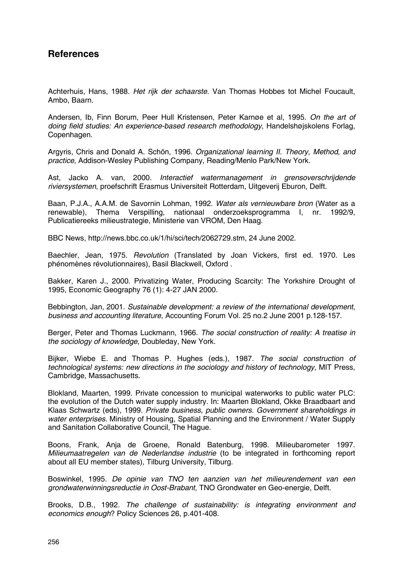### **References**

Achterhuis, Hans, 1988. *Het rijk der schaarste*. Van Thomas Hobbes tot Michel Foucault, Ambo, Baarn.

Andersen, Ib, Finn Borum, Peer Hull Kristensen, Peter Karnøe et al, 1995. *On the art of doing field studies: An experience-based research methodology*, Handelshøjskolens Forlag, Copenhagen.

Argyris, Chris and Donald A. Schön, 1996. *Organizational learning II. Theory, Method, and practice*, Addison-Wesley Publishing Company, Reading/Menlo Park/New York.

Ast, Jacko A. van, 2000. *Interactief watermanagement in grensoverschrijdende riviersystemen*, proefschrift Erasmus Universiteit Rotterdam, Uitgeverij Eburon, Delft.

Baan, P.J.A., A.A.M. de Savornin Lohman, 1992. *Water als vernieuwbare bron* (Water as a renewable), Thema Verspilling, nationaal onderzoeksprogramma I, nr. 1992/9, Publicatiereeks milieustrategie, Ministerie van VROM, Den Haag.

BBC News, http://news.bbc.co.uk/1/hi/sci/tech/2062729.stm, 24 June 2002.

Baechler, Jean, 1975. *Revolution* (Translated by Joan Vickers, first ed. 1970. Les phénomènes révolutionnaires), Basil Blackwell, Oxford .

Bakker, Karen J., 2000. Privatizing Water, Producing Scarcity: The Yorkshire Drought of 1995, Economic Geography 76 (1): 4-27 JAN 2000.

Bebbington, Jan, 2001. *Sustainable development: a review of the international development, business and accounting literature*, Accounting Forum Vol. 25 no.2 June 2001 p.128-157.

Berger, Peter and Thomas Luckmann, 1966. *The social construction of reality: A treatise in the sociology of knowledge*, Doubleday, New York.

Bijker, Wiebe E. and Thomas P. Hughes (eds.), 1987. *The social construction of technological systems: new directions in the sociology and history of technology*, MIT Press, Cambridge, Massachusetts.

Blokland, Maarten, 1999. Private concession to municipal waterworks to public water PLC: the evolution of the Dutch water supply industry. In: Maarten Blokland, Okke Braadbaart and Klaas Schwartz (eds), 1999. *Private business, public owners. Government shareholdings in water enterprises.* Ministry of Housing, Spatial Planning and the Environment / Water Supply and Sanitation Collaborative Council, The Hague.

Boons, Frank, Anja de Groene, Ronald Batenburg, 1998. Milieubarometer 1997. *Milieumaatregelen van de Nederlandse industrie* (to be integrated in forthcoming report about all EU member states), Tilburg University, Tilburg.

Boswinkel, 1995. *De opinie van TNO ten aanzien van het milieurendement van een grondwaterwinningsreductie in Oost-Brabant*, TNO Grondwater en Geo-energie, Delft.

Brooks, D.B., 1992. *The challenge of sustainability: is integrating environment and economics enough*? Policy Sciences 26, p.401-408.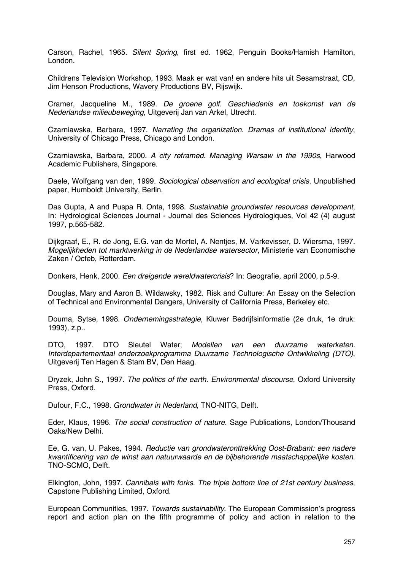Carson, Rachel, 1965. *Silent Spring*, first ed. 1962, Penguin Books/Hamish Hamilton, London.

Childrens Television Workshop, 1993. Maak er wat van! en andere hits uit Sesamstraat, CD, Jim Henson Productions, Wavery Productions BV, Rijswijk.

Cramer, Jacqueline M., 1989. *De groene golf. Geschiedenis en toekomst van de Nederlandse milieubeweging*, Uitgeverij Jan van Arkel, Utrecht.

Czarniawska, Barbara, 1997. *Narrating the organization. Dramas of institutional identity*, University of Chicago Press, Chicago and London.

Czarniawska, Barbara, 2000. *A city reframed. Managing Warsaw in the 1990s*, Harwood Academic Publishers, Singapore.

Daele, Wolfgang van den, 1999. *Sociological observation and ecological crisis*. Unpublished paper, Humboldt University, Berlin.

Das Gupta, A and Puspa R. Onta, 1998. *Sustainable groundwater resources development*, In: Hydrological Sciences Journal - Journal des Sciences Hydrologiques, Vol 42 (4) august 1997, p.565-582.

Dijkgraaf, E., R. de Jong, E.G. van de Mortel, A. Nentjes, M. Varkevisser, D. Wiersma, 1997. *Mogelijkheden tot marktwerking in de Nederlandse watersector*, Ministerie van Economische Zaken / Ocfeb, Rotterdam.

Donkers, Henk, 2000. *Een dreigende wereldwatercrisis*? In: Geografie, april 2000, p.5-9.

Douglas, Mary and Aaron B. Wildawsky, 1982. Risk and Culture: An Essay on the Selection of Technical and Environmental Dangers, University of California Press, Berkeley etc.

Douma, Sytse, 1998. *Ondernemingsstrategie*, Kluwer Bedrijfsinformatie (2e druk, 1e druk: 1993), z.p..

DTO, 1997. DTO Sleutel Water; *Modellen van een duurzame waterketen. Interdepartementaal onderzoekprogramma Duurzame Technologische Ontwikkeling (DTO)*, Uitgeverij Ten Hagen & Stam BV, Den Haag.

Dryzek, John S., 1997. *The politics of the earth. Environmental discourse*, Oxford University Press, Oxford.

Dufour, F.C., 1998. *Grondwater in Nederland*, TNO-NITG, Delft.

Eder, Klaus, 1996. *The social construction of nature*. Sage Publications, London/Thousand Oaks/New Delhi.

Ee, G. van, U. Pakes, 1994. *Reductie van grondwateronttrekking Oost-Brabant: een nadere kwantificering van de winst aan natuurwaarde en de bijbehorende maatschappelijke kosten*. TNO-SCMO, Delft.

Elkington, John, 1997. *Cannibals with forks. The triple bottom line of 21st century business*, Capstone Publishing Limited, Oxford.

European Communities, 1997. *Towards sustainability*. The European Commission's progress report and action plan on the fifth programme of policy and action in relation to the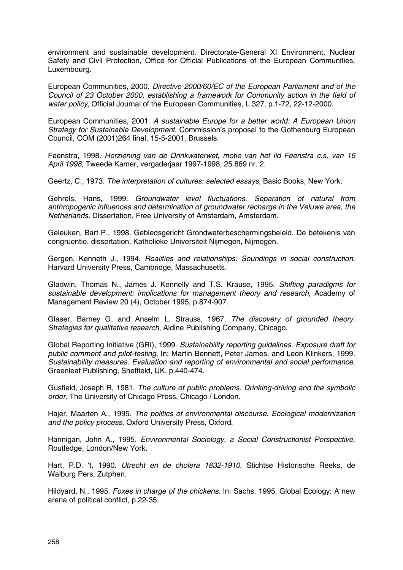environment and sustainable development. Directorate-General XI Environment, Nuclear Safety and Civil Protection, Office for Official Publications of the European Communities, Luxembourg.

European Communities, 2000. *Directive 2000/60/EC of the European Parliament and of the Council of 23 October 2000, establishing a framework for Community action in the field of water policy*, Official Journal of the European Communities, L 327, p.1-72, 22-12-2000.

European Communities, 2001. *A sustainable Europe for a better world: A European Union Strategy for Sustainable Development*. Commission's proposal to the Gothenburg European Council, COM (2001)264 final, 15-5-2001, Brussels.

Feenstra, 1998. *Herziening van de Drinkwaterwet, motie van het lid Feenstra c.s. van 16 April 1998*, Tweede Kamer, vergaderjaar 1997-1998, 25 869 nr. 2.

Geertz, C., 1973. *The interpretation of cultures: selected essays*, Basic Books, New York.

Gehrels, Hans, 1999. *Groundwater level fluctuations. Separation of natural from anthropogenic influences and determination of groundwater recharge in the Veluwe area, the Netherlands.* Dissertation, Free University of Amsterdam, Amsterdam.

Geleuken, Bart P., 1998. Gebiedsgericht Grondwaterbeschermingsbeleid. De betekenis van congruentie, dissertation, Katholieke Universiteit Nijmegen, Nijmegen.

Gergen, Kenneth J., 1994. *Realities and relationships: Soundings in social construction*. Harvard University Press, Cambridge, Massachusetts.

Gladwin, Thomas N., James J. Kennelly and T.S. Krause, 1995. *Shifting paradigms for sustainable development: implications for management theory and research*, Academy of Management Review 20 (4), October 1995, p.874-907.

Glaser, Barney G. and Anselm L. Strauss, 1967. *The discovery of grounded theory. Strategies for qualitative research*, Aldine Publishing Company, Chicago.

Global Reporting Initiative (GRI), 1999. *Sustainability reporting guidelines. Exposure draft for public comment and pilot-testing*, In: Martin Bennett, Peter James, and Leon Klinkers, 1999. *Sustainability measures. Evaluation and reporting of environmental and social performance*, Greenleaf Publishing, Sheffield, UK, p.440-474.

Gusfield, Joseph R, 1981. *The culture of public problems. Drinking-driving and the symbolic order.* The University of Chicago Press, Chicago / London.

Hajer, Maarten A., 1995. *The politics of environmental discourse. Ecological modernization and the policy process*, Oxford University Press, Oxford.

Hannigan, John A., 1995. *Environmental Sociology, a Social Constructionist Perspective,* Routledge, London/New York.

Hart, P.D. 't, 1990. *Utrecht en de cholera 1832-1910*, Stichtse Historische Reeks, de Walburg Pers, Zutphen.

Hildyard, N., 1995. *Foxes in charge of the chickens*. In: Sachs, 1995. Global Ecology: A new arena of political conflict, p.22-35.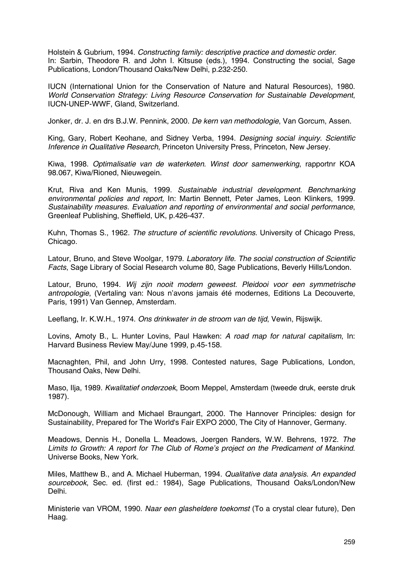Holstein & Gubrium, 1994. *Constructing family: descriptive practice and domestic order*. In: Sarbin, Theodore R. and John I. Kitsuse (eds.), 1994. Constructing the social, Sage Publications, London/Thousand Oaks/New Delhi, p.232-250.

IUCN (International Union for the Conservation of Nature and Natural Resources), 1980. *World Conservation Strategy: Living Resource Conservation for Sustainable Development*, IUCN-UNEP-WWF, Gland, Switzerland.

Jonker, dr. J. en drs B.J.W. Pennink, 2000. *De kern van methodologie*, Van Gorcum, Assen.

King, Gary, Robert Keohane, and Sidney Verba, 1994. *Designing social inquiry. Scientific Inference in Qualitative Research*, Princeton University Press, Princeton, New Jersey.

Kiwa, 1998. *Optimalisatie van de waterketen. Winst door samenwerking*, rapportnr KOA 98.067, Kiwa/Rioned, Nieuwegein.

Krut, Riva and Ken Munis, 1999. *Sustainable industrial development. Benchmarking environmental policies and report,* In: Martin Bennett, Peter James, Leon Klinkers, 1999. *Sustainability measures. Evaluation and reporting of environmental and social performance*, Greenleaf Publishing, Sheffield, UK, p.426-437.

Kuhn, Thomas S., 1962. *The structure of scientific revolutions*. University of Chicago Press, Chicago.

Latour, Bruno, and Steve Woolgar, 1979. *Laboratory life. The social construction of Scientific Facts*, Sage Library of Social Research volume 80, Sage Publications, Beverly Hills/London.

Latour, Bruno, 1994. *Wij zijn nooit modern geweest. Pleidooi voor een symmetrische antropologie*, (Vertaling van: Nous n'avons jamais été modernes, Editions La Decouverte, Paris, 1991) Van Gennep, Amsterdam.

Leeflang, Ir. K.W.H., 1974. *Ons drinkwater in de stroom van de tijd*, Vewin, Rijswijk.

Lovins, Amoty B., L. Hunter Lovins, Paul Hawken: *A road map for natural capitalism*, In: Harvard Business Review May/June 1999, p.45-158.

Macnaghten, Phil, and John Urry, 1998. Contested natures, Sage Publications, London, Thousand Oaks, New Delhi.

Maso, Ilja, 1989. *Kwalitatief onderzoek*, Boom Meppel, Amsterdam (tweede druk, eerste druk 1987).

McDonough, William and Michael Braungart, 2000. The Hannover Principles: design for Sustainability, Prepared for The World's Fair EXPO 2000, The City of Hannover, Germany.

Meadows, Dennis H., Donella L. Meadows, Joergen Randers, W.W. Behrens, 1972. *The Limits to Growth: A report for The Club of Rome's project on the Predicament of Mankind*. Universe Books, New York.

Miles, Matthew B., and A. Michael Huberman, 1994. *Qualitative data analysis. An expanded sourcebook*, Sec. ed. (first ed.: 1984), Sage Publications, Thousand Oaks/London/New Delhi.

Ministerie van VROM, 1990. *Naar een glasheldere toekomst* (To a crystal clear future), Den Haag.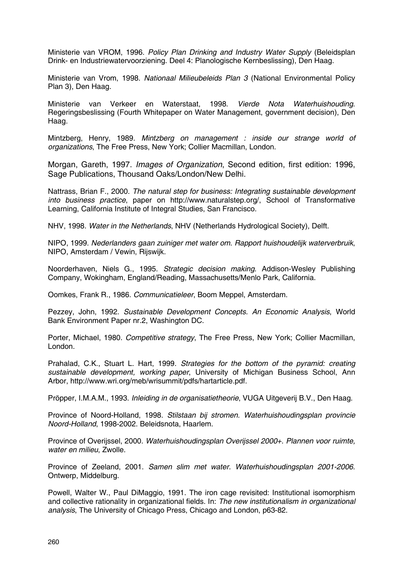Ministerie van VROM, 1996. *Policy Plan Drinking and Industry Water Supply* (Beleidsplan Drink- en Industriewatervoorziening. Deel 4: Planologische Kernbeslissing), Den Haag.

Ministerie van Vrom, 1998. *Nationaal Milieubeleids Plan 3* (National Environmental Policy Plan 3), Den Haag.

Ministerie van Verkeer en Waterstaat, 1998. *Vierde Nota Waterhuishouding*. Regeringsbeslissing (Fourth Whitepaper on Water Management, government decision), Den Haag.

Mintzberg, Henry, 1989. *Mintzberg on management : inside our strange world of organizations*, The Free Press, New York; Collier Macmillan, London.

Morgan, Gareth, 1997. *Images of Organization*, Second edition, first edition: 1996, Sage Publications, Thousand Oaks/London/New Delhi.

Nattrass, Brian F., 2000. *The natural step for business: Integrating sustainable development into business practice*, paper on http://www.naturalstep.org/, School of Transformative Learning, California Institute of Integral Studies, San Francisco.

NHV, 1998. *Water in the Netherlands*, NHV (Netherlands Hydrological Society), Delft.

NIPO, 1999. *Nederlanders gaan zuiniger met water om. Rapport huishoudelijk waterverbruik*, NIPO, Amsterdam / Vewin, Rijswijk.

Noorderhaven, Niels G., 1995. *Strategic decision making*. Addison-Wesley Publishing Company, Wokingham, England/Reading, Massachusetts/Menlo Park, California.

Oomkes, Frank R., 1986. *Communicatieleer*, Boom Meppel, Amsterdam.

Pezzey, John, 1992. *Sustainable Development Concepts. An Economic Analysis*, World Bank Environment Paper nr.2, Washington DC.

Porter, Michael, 1980. *Competitive strategy*, The Free Press, New York; Collier Macmillan, London.

Prahalad, C.K., Stuart L. Hart, 1999. *Strategies for the bottom of the pyramid: creating sustainable development, working paper*, University of Michigan Business School, Ann Arbor, http://www.wri.org/meb/wrisummit/pdfs/hartarticle.pdf.

Pröpper, I.M.A.M., 1993. *Inleiding in de organisatietheorie*, VUGA Uitgeverij B.V., Den Haag.

Province of Noord-Holland, 1998. *Stilstaan bij stromen. Waterhuishoudingsplan provincie Noord-Holland*, 1998-2002. Beleidsnota, Haarlem.

Province of Overijssel, 2000. *Waterhuishoudingsplan Overijssel 2000+. Plannen voor ruimte, water en milieu*, Zwolle.

Province of Zeeland, 2001. *Samen slim met water. Waterhuishoudingsplan 2001-2006*. Ontwerp, Middelburg.

Powell, Walter W., Paul DiMaggio, 1991. The iron cage revisited: Institutional isomorphism and collective rationality in organizational fields. In: *The new institutionalism in organizational analysis*, The University of Chicago Press, Chicago and London, p63-82.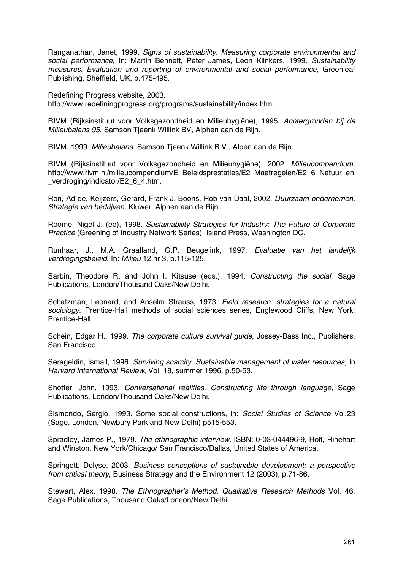Ranganathan, Janet, 1999. *Signs of sustainability. Measuring corporate environmental and social performance*, In: Martin Bennett, Peter James, Leon Klinkers, 1999. *Sustainability measures. Evaluation and reporting of environmental and social performance,* Greenleaf Publishing, Sheffield, UK, p.475-495.

Redefining Progress website, 2003. http://www.redefiningprogress.org/programs/sustainability/index.html.

RIVM (Rijksinstituut voor Volksgezondheid en Milieuhygiëne), 1995. *Achtergronden bij de Milieubalans 95*. Samson Tjeenk Willink BV, Alphen aan de Rijn.

RIVM, 1999. *Milieubalans*, Samson Tjeenk Willink B.V., Alpen aan de Rijn.

RIVM (Rijksinstituut voor Volksgezondheid en Milieuhygiëne), 2002. *Milieucompendium*, http://www.rivm.nl/milieucompendium/E\_Beleidsprestaties/E2\_Maatregelen/E2\_6\_Natuur\_en verdroging/indicator/E2\_6\_4.htm.

Ron, Ad de, Keijzers, Gerard, Frank J. Boons, Rob van Daal, 2002. *Duurzaam ondernemen. Strategie van bedrijven*, Kluwer, Alphen aan de Rijn.

Roome, Nigel J. (ed), 1998. *Sustainability Strategies for Industry: The Future of Corporate Practice* (Greening of Industry Network Series), Island Press, Washington DC.

Runhaar, J., M.A. Graafland, G.P. Beugelink, 1997. *Evaluatie van het landelijk verdrogingsbeleid*. In: *Milieu* 12 nr 3, p.115-125.

Sarbin, Theodore R. and John I. Kitsuse (eds.), 1994. *Constructing the social*, Sage Publications, London/Thousand Oaks/New Delhi.

Schatzman, Leonard, and Anselm Strauss, 1973. *Field research: strategies for a natural sociology*. Prentice-Hall methods of social sciences series, Englewood Cliffs, New York: Prentice-Hall.

Schein, Edgar H., 1999. *The corporate culture survival guide*, Jossey-Bass Inc., Publishers, San Francisco.

Serageldin, Ismail, 1996. *Surviving scarcity. Sustainable management of water resources*, In *Harvard International Review*, Vol. 18, summer 1996, p.50-53.

Shotter, John, 1993. *Conversational realities. Constructing life through language,* Sage Publications, London/Thousand Oaks/New Delhi.

Sismondo, Sergio, 1993. Some social constructions, in: *Social Studies of Science* Vol.23 (Sage, London, Newbury Park and New Delhi) p515-553.

Spradley, James P., 1979. *The ethnographic interview*. ISBN: 0-03-044496-9, Holt, Rinehart and Winston, New York/Chicago/ San Francisco/Dallas, United States of America.

Springett, Delyse, 2003. *Business conceptions of sustainable development: a perspective from critical theory*, Business Strategy and the Environment 12 (2003), p.71-86.

Stewart, Alex, 1998. *The Ethnographer's Method. Qualitative Research Methods* Vol. 46, Sage Publications, Thousand Oaks/London/New Delhi.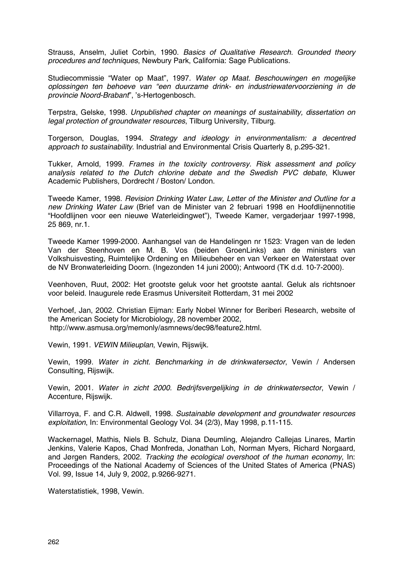Strauss, Anselm, Juliet Corbin, 1990. *Basics of Qualitative Research. Grounded theory procedures and techniques*, Newbury Park, California: Sage Publications.

Studiecommissie "Water op Maat", 1997. *Water op Maat. Beschouwingen en mogelijke oplossingen ten behoeve van "een duurzame drink- en industriewatervoorziening in de provincie Noord-Brabant*", 's-Hertogenbosch.

Terpstra, Gelske, 1998. *Unpublished chapter on meanings of sustainability, dissertation on legal protection of groundwater resources*, Tilburg University, Tilburg.

Torgerson, Douglas, 1994. *Strategy and ideology in environmentalism: a decentred approach to sustainability*. Industrial and Environmental Crisis Quarterly 8, p.295-321.

Tukker, Arnold, 1999. *Frames in the toxicity controversy. Risk assessment and policy analysis related to the Dutch chlorine debate and the Swedish PVC debate*, Kluwer Academic Publishers, Dordrecht / Boston/ London.

Tweede Kamer, 1998. *Revision Drinking Water Law, Letter of the Minister and Outline for a new Drinking Water Law* (Brief van de Minister van 2 februari 1998 en Hoofdlijnennotitie "Hoofdlijnen voor een nieuwe Waterleidingwet"), Tweede Kamer, vergaderjaar 1997-1998, 25 869, nr.1.

Tweede Kamer 1999-2000. Aanhangsel van de Handelingen nr 1523: Vragen van de leden Van der Steenhoven en M. B. Vos (beiden GroenLinks) aan de ministers van Volkshuisvesting, Ruimtelijke Ordening en Milieubeheer en van Verkeer en Waterstaat over de NV Bronwaterleiding Doorn. (Ingezonden 14 juni 2000); Antwoord (TK d.d. 10-7-2000).

Veenhoven, Ruut, 2002: Het grootste geluk voor het grootste aantal. Geluk als richtsnoer voor beleid. Inaugurele rede Erasmus Universiteit Rotterdam, 31 mei 2002

Verhoef, Jan, 2002. Christian Eijman: Early Nobel Winner for Beriberi Research, website of the American Society for Microbiology, 28 november 2002, http://www.asmusa.org/memonly/asmnews/dec98/feature2.html.

Vewin, 1991. *VEWIN Milieuplan*, Vewin, Rijswijk.

Vewin, 1999. *Water in zicht. Benchmarking in de drinkwatersector*, Vewin / Andersen Consulting, Rijswijk.

Vewin, 2001. *Water in zicht 2000. Bedrijfsvergelijking in de drinkwatersector*, Vewin / Accenture, Rijswijk.

Villarroya, F. and C.R. Aldwell, 1998. *Sustainable development and groundwater resources exploitation*, In: Environmental Geology Vol. 34 (2/3), May 1998, p.11-115.

Wackernagel, Mathis, Niels B. Schulz, Diana Deumling, Alejandro Callejas Linares, Martin Jenkins, Valerie Kapos, Chad Monfreda, Jonathan Loh, Norman Myers, Richard Norgaard, and Jørgen Randers, 2002. *Tracking the ecological overshoot of the human economy*, In: Proceedings of the National Academy of Sciences of the United States of America (PNAS) Vol. 99, Issue 14, July 9, 2002, p.9266-9271.

Waterstatistiek, 1998, Vewin.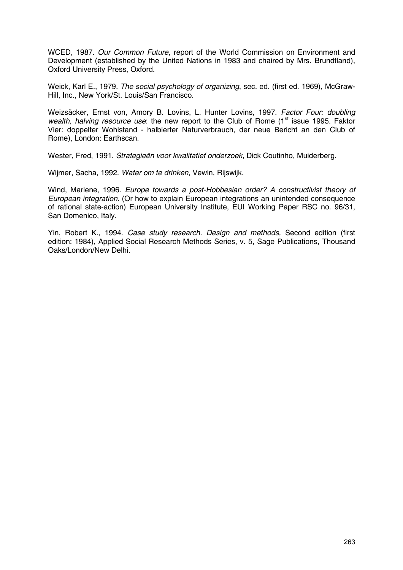WCED, 1987. *Our Common Future*, report of the World Commission on Environment and Development (established by the United Nations in 1983 and chaired by Mrs. Brundtland), Oxford University Press, Oxford.

Weick, Karl E., 1979. *The social psychology of organizing*, sec. ed. (first ed. 1969), McGraw-Hill, Inc., New York/St. Louis/San Francisco.

Weizsäcker, Ernst von, Amory B. Lovins, L. Hunter Lovins, 1997. *Factor Four: doubling wealth, halving resource use*: the new report to the Club of Rome (1<sup>st</sup> issue 1995. Faktor Vier: doppelter Wohlstand - halbierter Naturverbrauch, der neue Bericht an den Club of Rome), London: Earthscan.

Wester, Fred, 1991. *Strategieën voor kwalitatief onderzoek*, Dick Coutinho, Muiderberg.

Wijmer, Sacha, 1992. *Water om te drinken*, Vewin, Rijswijk.

Wind, Marlene, 1996. *Europe towards a post-Hobbesian order? A constructivist theory of European integration*. (Or how to explain European integrations an unintended consequence of rational state-action) European University Institute, EUI Working Paper RSC no. 96/31, San Domenico, Italy.

Yin, Robert K., 1994. *Case study research. Design and methods,* Second edition (first edition: 1984), Applied Social Research Methods Series, v. 5, Sage Publications, Thousand Oaks/London/New Delhi.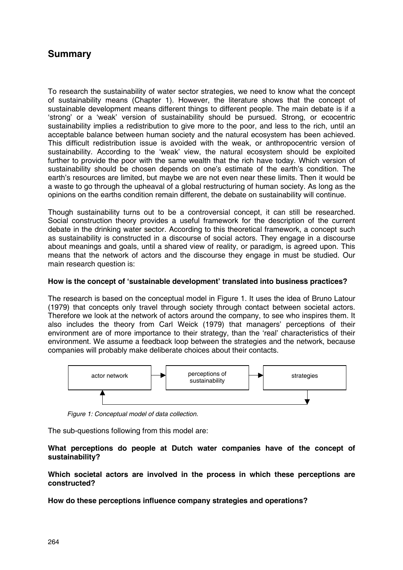### **Summary**

To research the sustainability of water sector strategies, we need to know what the concept of sustainability means (Chapter 1). However, the literature shows that the concept of sustainable development means different things to different people. The main debate is if a 'strong' or a 'weak' version of sustainability should be pursued. Strong, or ecocentric sustainability implies a redistribution to give more to the poor, and less to the rich, until an acceptable balance between human society and the natural ecosystem has been achieved. This difficult redistribution issue is avoided with the weak, or anthropocentric version of sustainability. According to the 'weak' view, the natural ecosystem should be exploited further to provide the poor with the same wealth that the rich have today. Which version of sustainability should be chosen depends on one's estimate of the earth's condition. The earth's resources are limited, but maybe we are not even near these limits. Then it would be a waste to go through the upheaval of a global restructuring of human society. As long as the opinions on the earths condition remain different, the debate on sustainability will continue.

Though sustainability turns out to be a controversial concept, it can still be researched. Social construction theory provides a useful framework for the description of the current debate in the drinking water sector. According to this theoretical framework, a concept such as sustainability is constructed in a discourse of social actors. They engage in a discourse about meanings and goals, until a shared view of reality, or paradigm, is agreed upon. This means that the network of actors and the discourse they engage in must be studied. Our main research question is:

### **How is the concept of 'sustainable development' translated into business practices?**

The research is based on the conceptual model in Figure 1. It uses the idea of Bruno Latour (1979) that concepts only travel through society through contact between societal actors. Therefore we look at the network of actors around the company, to see who inspires them. It also includes the theory from Carl Weick (1979) that managers' perceptions of their environment are of more importance to their strategy, than the 'real' characteristics of their environment. We assume a feedback loop between the strategies and the network, because companies will probably make deliberate choices about their contacts.



*Figure 1: Conceptual model of data collection.*

The sub-questions following from this model are:

**What perceptions do people at Dutch water companies have of the concept of sustainability?**

**Which societal actors are involved in the process in which these perceptions are constructed?**

**How do these perceptions influence company strategies and operations?**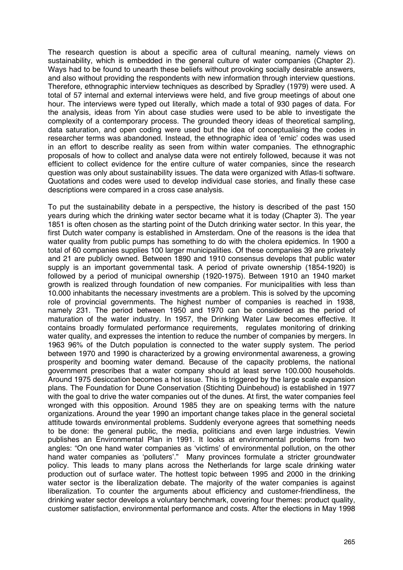The research question is about a specific area of cultural meaning, namely views on sustainability, which is embedded in the general culture of water companies (Chapter 2). Ways had to be found to unearth these beliefs without provoking socially desirable answers, and also without providing the respondents with new information through interview questions. Therefore, ethnographic interview techniques as described by Spradley (1979) were used. A total of 57 internal and external interviews were held, and five group meetings of about one hour. The interviews were typed out literally, which made a total of 930 pages of data. For the analysis, ideas from Yin about case studies were used to be able to investigate the complexity of a contemporary process. The grounded theory ideas of theoretical sampling, data saturation, and open coding were used but the idea of conceptualising the codes in researcher terms was abandoned. Instead, the ethnographic idea of 'emic' codes was used in an effort to describe reality as seen from within water companies. The ethnographic proposals of how to collect and analyse data were not entirely followed, because it was not efficient to collect evidence for the entire culture of water companies, since the research question was only about sustainability issues. The data were organized with Atlas-ti software. Quotations and codes were used to develop individual case stories, and finally these case descriptions were compared in a cross case analysis.

To put the sustainability debate in a perspective, the history is described of the past 150 years during which the drinking water sector became what it is today (Chapter 3). The year 1851 is often chosen as the starting point of the Dutch drinking water sector. In this year, the first Dutch water company is established in Amsterdam. One of the reasons is the idea that water quality from public pumps has something to do with the cholera epidemics. In 1900 a total of 60 companies supplies 100 larger municipalities. Of these companies 39 are privately and 21 are publicly owned. Between 1890 and 1910 consensus develops that public water supply is an important governmental task. A period of private ownership (1854-1920) is followed by a period of municipal ownership (1920-1975). Between 1910 an 1940 market growth is realized through foundation of new companies. For municipalities with less than 10.000 inhabitants the necessary investments are a problem. This is solved by the upcoming role of provincial governments. The highest number of companies is reached in 1938, namely 231. The period between 1950 and 1970 can be considered as the period of maturation of the water industry. In 1957, the Drinking Water Law becomes effective. It contains broadly formulated performance requirements, regulates monitoring of drinking water quality, and expresses the intention to reduce the number of companies by mergers. In 1963 96% of the Dutch population is connected to the water supply system. The period between 1970 and 1990 is characterized by a growing environmental awareness, a growing prosperity and booming water demand. Because of the capacity problems, the national government prescribes that a water company should at least serve 100.000 households. Around 1975 desiccation becomes a hot issue. This is triggered by the large scale expansion plans. The Foundation for Dune Conservation (Stichting Duinbehoud) is established in 1977 with the goal to drive the water companies out of the dunes. At first, the water companies feel wronged with this opposition. Around 1985 they are on speaking terms with the nature organizations. Around the year 1990 an important change takes place in the general societal attitude towards environmental problems. Suddenly everyone agrees that something needs to be done: the general public, the media, politicians and even large industries. Vewin publishes an Environmental Plan in 1991. It looks at environmental problems from two angles: "On one hand water companies as 'victims' of environmental pollution, on the other hand water companies as 'polluters'." Many provinces formulate a stricter groundwater policy. This leads to many plans across the Netherlands for large scale drinking water production out of surface water. The hottest topic between 1995 and 2000 in the drinking water sector is the liberalization debate. The majority of the water companies is against liberalization. To counter the arguments about efficiency and customer-friendliness, the drinking water sector develops a voluntary benchmark, covering four themes: product quality, customer satisfaction, environmental performance and costs. After the elections in May 1998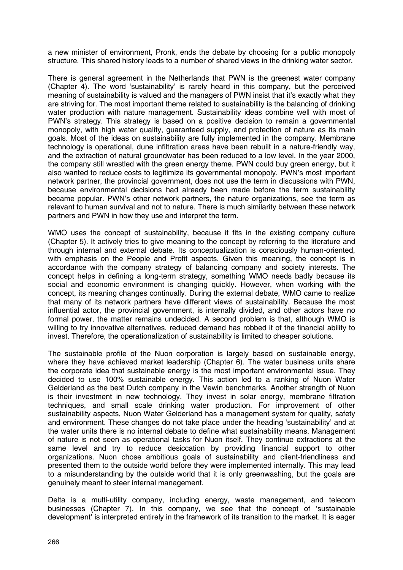a new minister of environment, Pronk, ends the debate by choosing for a public monopoly structure. This shared history leads to a number of shared views in the drinking water sector.

There is general agreement in the Netherlands that PWN is the greenest water company (Chapter 4). The word 'sustainability' is rarely heard in this company, but the perceived meaning of sustainability is valued and the managers of PWN insist that it's exactly what they are striving for. The most important theme related to sustainability is the balancing of drinking water production with nature management. Sustainability ideas combine well with most of PWN's strategy. This strategy is based on a positive decision to remain a governmental monopoly, with high water quality, guaranteed supply, and protection of nature as its main goals. Most of the ideas on sustainability are fully implemented in the company. Membrane technology is operational, dune infiltration areas have been rebuilt in a nature-friendly way, and the extraction of natural groundwater has been reduced to a low level. In the year 2000, the company still wrestled with the green energy theme. PWN could buy green energy, but it also wanted to reduce costs to legitimize its governmental monopoly. PWN's most important network partner, the provincial government, does not use the term in discussions with PWN, because environmental decisions had already been made before the term sustainability became popular. PWN's other network partners, the nature organizations, see the term as relevant to human survival and not to nature. There is much similarity between these network partners and PWN in how they use and interpret the term.

WMO uses the concept of sustainability, because it fits in the existing company culture (Chapter 5). It actively tries to give meaning to the concept by referring to the literature and through internal and external debate. Its conceptualization is consciously human-oriented, with emphasis on the People and Profit aspects. Given this meaning, the concept is in accordance with the company strategy of balancing company and society interests. The concept helps in defining a long-term strategy, something WMO needs badly because its social and economic environment is changing quickly. However, when working with the concept, its meaning changes continually. During the external debate, WMO came to realize that many of its network partners have different views of sustainability. Because the most influential actor, the provincial government, is internally divided, and other actors have no formal power, the matter remains undecided. A second problem is that, although WMO is willing to try innovative alternatives, reduced demand has robbed it of the financial ability to invest. Therefore, the operationalization of sustainability is limited to cheaper solutions.

The sustainable profile of the Nuon corporation is largely based on sustainable energy, where they have achieved market leadership (Chapter 6). The water business units share the corporate idea that sustainable energy is the most important environmental issue. They decided to use 100% sustainable energy. This action led to a ranking of Nuon Water Gelderland as the best Dutch company in the Vewin benchmarks. Another strength of Nuon is their investment in new technology. They invest in solar energy, membrane filtration techniques, and small scale drinking water production. For improvement of other sustainability aspects, Nuon Water Gelderland has a management system for quality, safety and environment. These changes do not take place under the heading 'sustainability' and at the water units there is no internal debate to define what sustainability means. Management of nature is not seen as operational tasks for Nuon itself. They continue extractions at the same level and try to reduce desiccation by providing financial support to other organizations. Nuon chose ambitious goals of sustainability and client-friendliness and presented them to the outside world before they were implemented internally. This may lead to a misunderstanding by the outside world that it is only greenwashing, but the goals are genuinely meant to steer internal management.

Delta is a multi-utility company, including energy, waste management, and telecom businesses (Chapter 7). In this company, we see that the concept of 'sustainable development' is interpreted entirely in the framework of its transition to the market. It is eager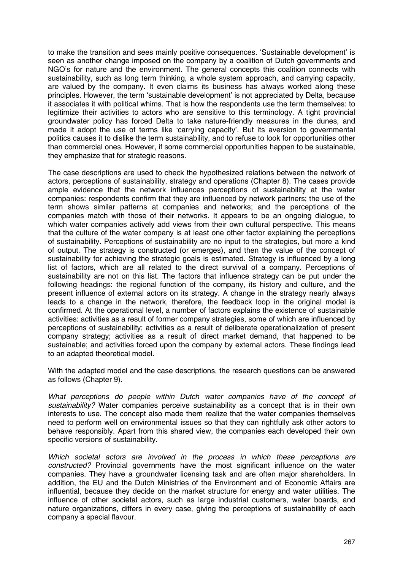to make the transition and sees mainly positive consequences. 'Sustainable development' is seen as another change imposed on the company by a coalition of Dutch governments and NGO's for nature and the environment. The general concepts this coalition connects with sustainability, such as long term thinking, a whole system approach, and carrying capacity, are valued by the company. It even claims its business has always worked along these principles. However, the term 'sustainable development' is not appreciated by Delta, because it associates it with political whims. That is how the respondents use the term themselves: to legitimize their activities to actors who are sensitive to this terminology. A tight provincial groundwater policy has forced Delta to take nature-friendly measures in the dunes, and made it adopt the use of terms like 'carrying capacity'. But its aversion to governmental politics causes it to dislike the term sustainability, and to refuse to look for opportunities other than commercial ones. However, if some commercial opportunities happen to be sustainable, they emphasize that for strategic reasons.

The case descriptions are used to check the hypothesized relations between the network of actors, perceptions of sustainability, strategy and operations (Chapter 8). The cases provide ample evidence that the network influences perceptions of sustainability at the water companies: respondents confirm that they are influenced by network partners; the use of the term shows similar patterns at companies and networks; and the perceptions of the companies match with those of their networks. It appears to be an ongoing dialogue, to which water companies actively add views from their own cultural perspective. This means that the culture of the water company is at least one other factor explaining the perceptions of sustainability. Perceptions of sustainability are no input to the strategies, but more a kind of output. The strategy is constructed (or emerges), and then the value of the concept of sustainability for achieving the strategic goals is estimated. Strategy is influenced by a long list of factors, which are all related to the direct survival of a company. Perceptions of sustainability are not on this list. The factors that influence strategy can be put under the following headings: the regional function of the company, its history and culture, and the present influence of external actors on its strategy. A change in the strategy nearly always leads to a change in the network, therefore, the feedback loop in the original model is confirmed. At the operational level, a number of factors explains the existence of sustainable activities: activities as a result of former company strategies, some of which are influenced by perceptions of sustainability; activities as a result of deliberate operationalization of present company strategy; activities as a result of direct market demand, that happened to be sustainable; and activities forced upon the company by external actors. These findings lead to an adapted theoretical model.

With the adapted model and the case descriptions, the research questions can be answered as follows (Chapter 9).

*What perceptions do people within Dutch water companies have of the concept of sustainability?* Water companies perceive sustainability as a concept that is in their own interests to use. The concept also made them realize that the water companies themselves need to perform well on environmental issues so that they can rightfully ask other actors to behave responsibly. Apart from this shared view, the companies each developed their own specific versions of sustainability.

*Which societal actors are involved in the process in which these perceptions are constructed?* Provincial governments have the most significant influence on the water companies. They have a groundwater licensing task and are often major shareholders. In addition, the EU and the Dutch Ministries of the Environment and of Economic Affairs are influential, because they decide on the market structure for energy and water utilities. The influence of other societal actors, such as large industrial customers, water boards, and nature organizations, differs in every case, giving the perceptions of sustainability of each company a special flavour.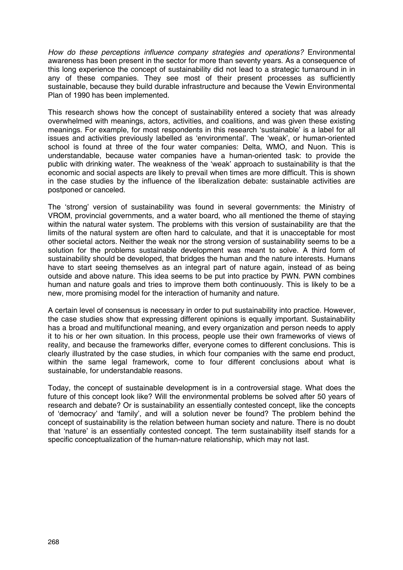*How do these perceptions influence company strategies and operations?* Environmental awareness has been present in the sector for more than seventy years. As a consequence of this long experience the concept of sustainability did not lead to a strategic turnaround in in any of these companies. They see most of their present processes as sufficiently sustainable, because they build durable infrastructure and because the Vewin Environmental Plan of 1990 has been implemented.

This research shows how the concept of sustainability entered a society that was already overwhelmed with meanings, actors, activities, and coalitions, and was given these existing meanings. For example, for most respondents in this research 'sustainable' is a label for all issues and activities previously labelled as 'environmental'. The 'weak', or human-oriented school is found at three of the four water companies: Delta, WMO, and Nuon. This is understandable, because water companies have a human-oriented task: to provide the public with drinking water. The weakness of the 'weak' approach to sustainability is that the economic and social aspects are likely to prevail when times are more difficult. This is shown in the case studies by the influence of the liberalization debate: sustainable activities are postponed or canceled.

The 'strong' version of sustainability was found in several governments: the Ministry of VROM, provincial governments, and a water board, who all mentioned the theme of staying within the natural water system. The problems with this version of sustainability are that the limits of the natural system are often hard to calculate, and that it is unacceptable for most other societal actors. Neither the weak nor the strong version of sustainability seems to be a solution for the problems sustainable development was meant to solve. A third form of sustainability should be developed, that bridges the human and the nature interests. Humans have to start seeing themselves as an integral part of nature again, instead of as being outside and above nature. This idea seems to be put into practice by PWN. PWN combines human and nature goals and tries to improve them both continuously. This is likely to be a new, more promising model for the interaction of humanity and nature.

A certain level of consensus is necessary in order to put sustainability into practice. However, the case studies show that expressing different opinions is equally important. Sustainability has a broad and multifunctional meaning, and every organization and person needs to apply it to his or her own situation. In this process, people use their own frameworks of views of reality, and because the frameworks differ, everyone comes to different conclusions. This is clearly illustrated by the case studies, in which four companies with the same end product, within the same legal framework, come to four different conclusions about what is sustainable, for understandable reasons.

Today, the concept of sustainable development is in a controversial stage. What does the future of this concept look like? Will the environmental problems be solved after 50 years of research and debate? Or is sustainability an essentially contested concept, like the concepts of 'democracy' and 'family', and will a solution never be found? The problem behind the concept of sustainability is the relation between human society and nature. There is no doubt that 'nature' is an essentially contested concept. The term sustainability itself stands for a specific conceptualization of the human-nature relationship, which may not last.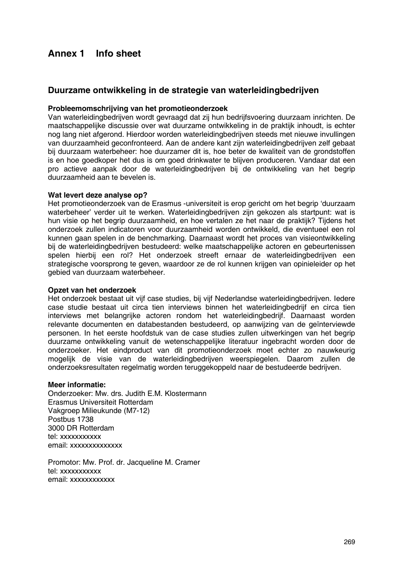### **Annex 1 Info sheet**

### **Duurzame ontwikkeling in de strategie van waterleidingbedrijven**

#### **Probleemomschrijving van het promotieonderzoek**

Van waterleidingbedrijven wordt gevraagd dat zij hun bedrijfsvoering duurzaam inrichten. De maatschappelijke discussie over wat duurzame ontwikkeling in de praktijk inhoudt, is echter nog lang niet afgerond. Hierdoor worden waterleidingbedrijven steeds met nieuwe invullingen van duurzaamheid geconfronteerd. Aan de andere kant zijn waterleidingbedrijven zelf gebaat bij duurzaam waterbeheer: hoe duurzamer dit is, hoe beter de kwaliteit van de grondstoffen is en hoe goedkoper het dus is om goed drinkwater te blijven produceren. Vandaar dat een pro actieve aanpak door de waterleidingbedrijven bij de ontwikkeling van het begrip duurzaamheid aan te bevelen is.

#### **Wat levert deze analyse op?**

Het promotieonderzoek van de Erasmus -universiteit is erop gericht om het begrip 'duurzaam waterbeheer' verder uit te werken. Waterleidingbedrijven zijn gekozen als startpunt: wat is hun visie op het begrip duurzaamheid, en hoe vertalen ze het naar de praktijk? Tijdens het onderzoek zullen indicatoren voor duurzaamheid worden ontwikkeld, die eventueel een rol kunnen gaan spelen in de benchmarking. Daarnaast wordt het proces van visieontwikkeling bij de waterleidingbedrijven bestudeerd: welke maatschappelijke actoren en gebeurtenissen spelen hierbij een rol? Het onderzoek streeft ernaar de waterleidingbedrijven een strategische voorsprong te geven, waardoor ze de rol kunnen krijgen van opinieleider op het gebied van duurzaam waterbeheer.

### **Opzet van het onderzoek**

Het onderzoek bestaat uit vijf case studies, bij vijf Nederlandse waterleidingbedrijven. Iedere case studie bestaat uit circa tien interviews binnen het waterleidingbedrijf en circa tien interviews met belangrijke actoren rondom het waterleidingbedrijf. Daarnaast worden relevante documenten en databestanden bestudeerd, op aanwijzing van de geïnterviewde personen. In het eerste hoofdstuk van de case studies zullen uitwerkingen van het begrip duurzame ontwikkeling vanuit de wetenschappelijke literatuur ingebracht worden door de onderzoeker. Het eindproduct van dit promotieonderzoek moet echter zo nauwkeurig mogelijk de visie van de waterleidingbedrijven weerspiegelen. Daarom zullen de onderzoeksresultaten regelmatig worden teruggekoppeld naar de bestudeerde bedrijven.

#### **Meer informatie:**

Onderzoeker: Mw. drs. Judith E.M. Klostermann Erasmus Universiteit Rotterdam Vakgroep Milieukunde (M7-12) Postbus 1738 3000 DR Rotterdam tel: xxxxxxxxxxx email: xxxxxxxxxxxxx

Promotor: Mw. Prof. dr. Jacqueline M. Cramer tel: xxxxxxxxxxx email: xxxxxxxxxxx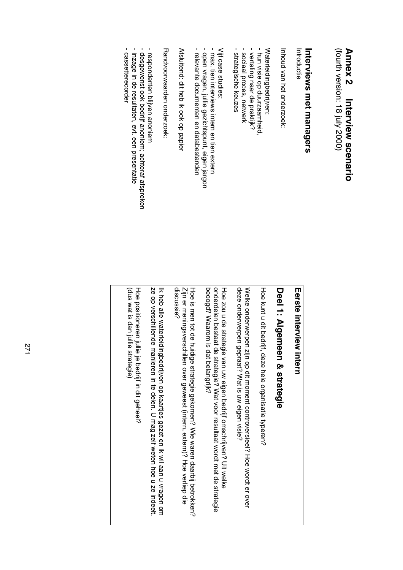### **Annex 2 Annex 2 Interview scenario** Interview scenario

(fourth version: 18 july 2000) (fourth version: 18 july 2000)

## **Interviews met managers** Interviews met managers

Introductie Introductie

Inhoud van het onderzoek: Inhoud van het onderzoek:

Waterleidingbedrijven: Waterleidingbedrijven:

- hun visie op duurzaamheid. - hun visie op duurzaamheid,
- vertaling naar de praktijk? - sociaal proces, netwerk - vertaling naar de praktijk?
- sociaal proces, netwerk - strategische keuzes - strategische keuzes

Vijf case studies: Vijf case studies:

- max. tien interviews intern en tien extern - max. tien interviews intern en tien extern
- open vragen, julile gezichtspunt, eigen jargon - open vragen, jullie gezichtspunt, eigen jargon
- relevante documenten en databestanden - relevante documenten en databestanden

Afsluitend: dit heb ik ook op papier Afsluitend: dit heb ik ook op papier

Randvoorwaarden onderzoek: Randvoorwaarden onderzoek:

- respondenten blijven anoniem - respondenten blijven anoniem
- desgewenst ook bedrijf anoniem; achteraf afspreken - desgewenst ook bedrijf anoniem; achteraf afspreken
- inzage in de resultaten, evt. een presentatie - inzage in de resultaten, evt. een presentatie
- cassetterecorder - cassetterecorder

### Eerste interview intern **Eerste interview intern**

# Deel 1: Algemeen & strategie **Deel 1: Algemeen & strategie**

Hoe kunt u dit bedrijf, deze hele organisatie typeren? Hoe kunt u dit bedrijf, deze hele organisatie typeren?

deze onderwerpen gepraat? Wat is uw eigen visie? deze onderwerpen gepraat? Wat is uw eigen visie? Welke onderwerpen zijn op dit moment controversieel? Hoe wordt er over Welke onderwerpen zijn op dit moment controversieel? Hoe wordt er over

beoogd? Waarom is dat belangrijk? onderdelen bestaat de strategie? Wat voor resultaat wordt met de strategie beoogd? Waarom is dat belangrijk? onderdelen bestaat de strategie? Wat voor resultaat wordt met de strategie Hoe zou u de strategie van uw eigen bedrijf omschrijven? Uit welke Hoe zou u de strategie van uw eigen bedrijf omschrijven? Uit welke

discussie? Zijn er meningsverschillen over geweest (intern, extern)? Hoe verliep die Hoe is men tot de huidige strategie gekomen? Wie waren daarbij betrokken? discussie? Zijn er meningsverschillen over geweest (intern, extern)? Hoe verliep die Hoe is men tot de huidige strategie gekomen? Wie waren daarbij betrokken?

ze op verschillende manieren in te delen. U mag zelf weten hoe u ze indeelt. Ik heb alle waterleidingbedrijven op kaartjes gezet en ik wil aan u vragen om ze op verschillende manieren in te delen. U mag zelf weten hoe u ze indeelt. Ik heb alle waterleidingbedrijven op kaartjes gezet en ik wil aan u vragen om

(dus wat is dan julile strategie) (dus wat is dan jullie strategie) Hoe positioneren jullie je bedrijf in dit geheel? Hoe positioneren jullie je bedrijf in dit geheel?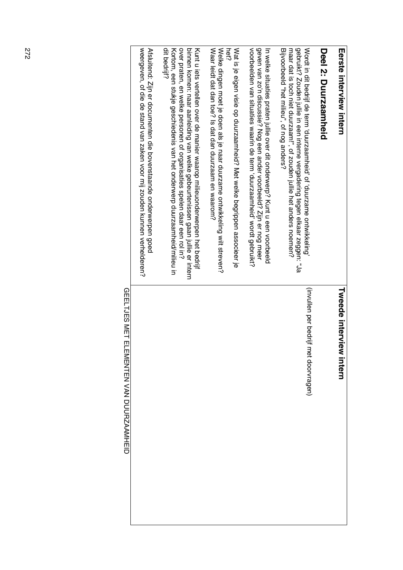| <b>Merste interview intern</b>                                                                                                                                                                                                                                                                                                   | <b>Twede interview intern</b>         |
|----------------------------------------------------------------------------------------------------------------------------------------------------------------------------------------------------------------------------------------------------------------------------------------------------------------------------------|---------------------------------------|
| Deel 2: Durzaamheid                                                                                                                                                                                                                                                                                                              |                                       |
| maar dat is toch niet duurzaam!", of zouden jullie het anders noemen?<br>gebruikt? Zouden jullie in een interne vergadering tegen elkaar zeggen: "Ja<br>Wordt in dit bedrijf de term (duuraaamheid, of 'duuraame ontwikkeling)<br>Bijvoorbeeld "het milieu", of nog anders?                                                      | (invullen per bedrijf met doorvragen) |
| voorbeelden van situaties waarin de term 'duurzaamheid' wordt gebruikt?<br>geven van zo'n discussie? Nog een ander voorbeeld? Zijn er nog meer<br>In welke struatios praten jullie over dit onderwerp. Kunt u een voorbeeld                                                                                                      |                                       |
| <b>Net?</b><br>Wat is je eigen visie op duurzaamheid? Met welke begrippen associeer je                                                                                                                                                                                                                                           |                                       |
| Waar leidt dat dan toe? Is dat dan duurzaam en waarom?<br>Welke dingen moet je doen als je naar duurzame ontwikkeling wilt streven?                                                                                                                                                                                              |                                       |
| dit bedrijf?<br>over praten, en welke personen of organisaties spelen daar een rol in?<br>Kortom, een stukje geschiedenis van het onderwerp duurzaamheid/milieu in<br>binnen komen: naar aanleiding van welke gebeurtenissen gaan jullie er intern<br>Kurt u jets vertellen over de manier waarop millieronderwerben het bedrijf |                                       |
| weergeven, ot die de stand van zaken voor mij zouden kunnen verhelder?<br>Atalzitend: Zijn er documenten die povenstaande onderwerpen goed                                                                                                                                                                                       |                                       |
|                                                                                                                                                                                                                                                                                                                                  |                                       |

**GEELTJES MET ELEMENTEN VAN DUURZAAMHEID** GEELTJES MET ELEMENTEN VAN DUURZAAMHEID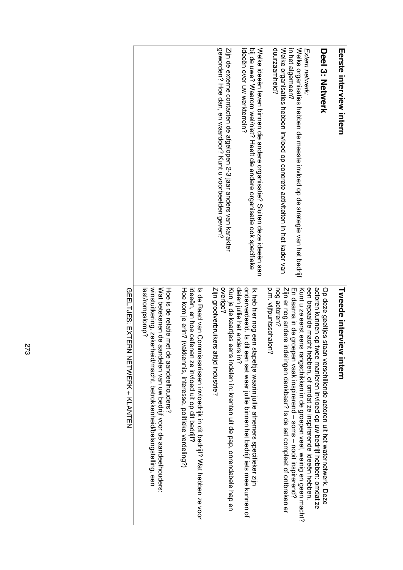| <b>Eerste interview intern</b>                                                                                                                                                       | <b>Takedo interview intern</b>                                                                                                                                                                                           |
|--------------------------------------------------------------------------------------------------------------------------------------------------------------------------------------|--------------------------------------------------------------------------------------------------------------------------------------------------------------------------------------------------------------------------|
| Deel 3: Netwerk                                                                                                                                                                      | actoren kunnen op twee manieren invloed op uw bedrijf hebben: omdat ze<br>Op deze geerijss staan verschijlende actoren rit het waternetwerk. Deze                                                                        |
| Welke organisaties hebben de meeste invloed op de strategie van het bedrijf<br>Extern netwerk:                                                                                       | Kunt u ze eerst eens rangschikken in de groepen veel, weinig en geen macht?<br>een bepaalde macht hebben, of omdat ze inspirerende ideeën hebben<br>En daarna in de groepen vaak inspirerend – soms – nooit inspirerend? |
| duurzaamheid?<br>in het algemeen?<br>Welke organisaties hebben invloed op concrete activiteiten in het kader van                                                                     | nog actoren?<br>p.m. vijfpuntsschale<br>Ninia er pog andere indere inder the set connoleed of one of one set of one of one of one of<br>్ష                                                                               |
| ideeën over uw werkterrein?<br>bij de uwe? Waarom wel/niet? Heeft die andere organisatie ook specifieke<br>Selke ideoral dred binnen die andere organisatie. Whiten deze ideoral aan | delen jullie het anders in?<br>onderverdeeld. Is dit een set waar jullie binnen het bedrijf iets mee kunnen of<br>Ik heb hier nog een stapeltje waarin jullie afnemers specifieker zijn                                  |
| geworden? Hoe dan, en waardoor? Kunt u voorbeelden geven?<br>Zijn de externe contacten de afgelopen 2-3 jaar anders van karakter                                                     | overige?<br>Zijn grootverbruikers altijd industrie?<br>Kun je de kaartjes eens indelen in: krenten uit de pap, onrendabele hap en                                                                                        |
|                                                                                                                                                                                      | ideeën, en hoe oetenen ze invloed uit op dit bedrijf?<br>Hoe kom je erin? (vakkennis, interesse, politieke verdeling?)<br>Is de Haad van Conninssarissen invloedrijk in dit bedrijf? Wat beboen ze voor                  |
|                                                                                                                                                                                      | winstuitkering, zekerheid/macht, betrokkenheid/belangstelling, een<br>last/rompslomp?<br>Wat betekenen de aandelen van uw bedrijf voor de aandeelhouders:<br>Hoe is de relatie met<br>t de aandeelhouders?               |
|                                                                                                                                                                                      | QEELTJES: EXTERN NETWERK + KLANTEN                                                                                                                                                                                       |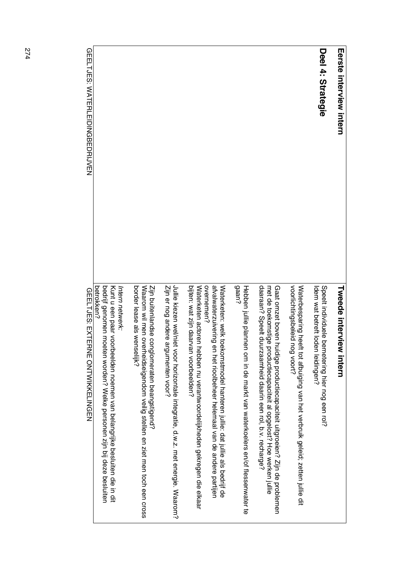| <b>Terste interview intern</b> | <b>Iweede interview intern</b>                                                                                                                                                                                              |
|--------------------------------|-----------------------------------------------------------------------------------------------------------------------------------------------------------------------------------------------------------------------------|
| Deel 4: Strategie              | Speelt individuele be<br>ldem wat betreft loden leidingen?<br>metering hier nog een rol?                                                                                                                                    |
|                                | voorlichtingsbeleid nog voort?<br>Waterbesparing heef<br>t tot afbuiging van het verbruik geleid; zetten jullie dit                                                                                                         |
|                                | daaraan? Speelt duu<br>Gaat omzet boven hu<br>met de toekomstige productiecapaciteit al opgelost? Hoe werken jullie<br>iidige productiecapaciteit uitgroeien? Zijn de problemen<br>rzaamheid daarin een rol, b.v. recharge? |
|                                | gaan?<br>Hebben jullie plannen om in de markt van waterkoelers en/of flessenwater te                                                                                                                                        |
|                                | overnemen?<br>atvalwaterzuivering en het rioolbeheer helemaal van de andere partijen<br>Waterketen: welk toekomstmodel hanteren jullie: dat jullie als bedrijf de                                                           |
|                                | bijten: wat zijn daarvan voorbeelden?<br>Waterketen actoren hebben nu verantwoordelijkheden gekregen die elkaar                                                                                                             |
|                                | Jullie kiezen wel/niet voor horizontale integratie, d.w.z. met energie. Waarom?<br>Zijn er nog andere argumenten voor?                                                                                                      |
|                                | border lease als wenselijk?<br>Zijn buitenlandse conglomeraten beangstigend?<br>Waarom wil men overheidseigendom veilig stellen en ziet men toch een cross                                                                  |
|                                | betrokken?<br>bedrijf genomen moeten worden? Welke personen zijn bij deze besluiten<br>Kurt u een baar voorpeelden van belangrijke besluiten die in dit<br>Intern netwerk:                                                  |
|                                | リンーリー                                                                                                                                                                                                                       |

**GEELTJES: WATERLEIDINGBEDRIJVEN** GEELTJES: WATERLEIDINGBEDRIJVEN

**GEELTJES: EXTERNE ONTWIKKELINGEN** GEELTJES: EXTERNE ONTWIKKELINGEN

274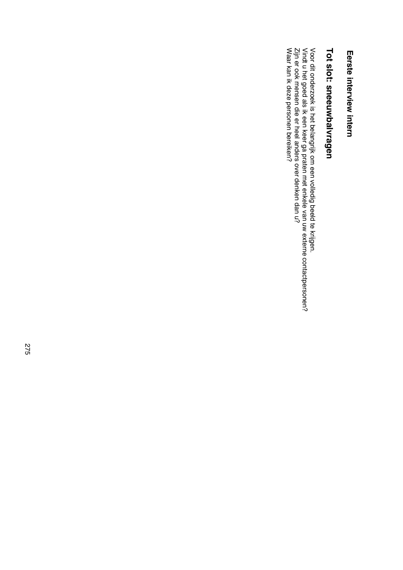### Eerste interview intern **Eerste interview intern**

## Tot slot: sneeuwbalvragen **Tot slot: sneeuwbalvragen**

Voor dit onderzoek is het belangrijk om een volledig beeld te krijgen.<br>Vindt u het goed als ik een keer ga praten met enkele van uw externe contactpersonen?<br>Zijn er ook mensen die er heel anders over denken dan u?<br>Waar kan Waar kan ik deze personen bereiken? Zijn er ook mensen die er heel anders over denken dan u? Vindt u het goed als ik een keer ga praten met enkele van uw externe contactpersonen? Voor dit onderzoek is het belangrijk om een volledig beeld te krijgen.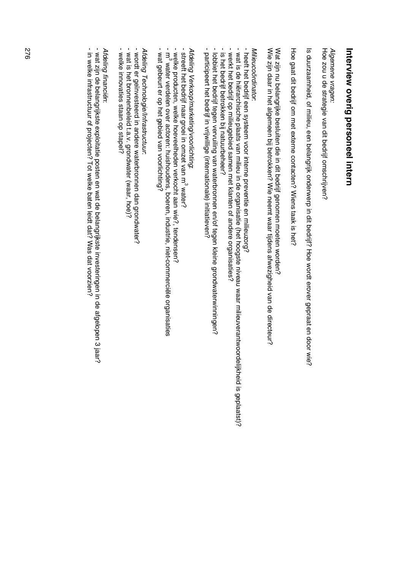# Interview overig personeel intern **Interview overig personeel intern**

Hoe zou u de strategie van dit bedrijf omschrijven? Hoe zou u de strategie van dit bedrijf omschrijven? Algemene vragen: *Algemene vragen:*

Is duurzaamheid, of milieu, een belangrijk onderwerp in dit bedrijf? Hoe wordt erover gepraat en door wie? Is duurzaamheid, of milieu, een belangrijk onderwerp in dit bedrijf? Hoe wordt erover gepraat en door wie?

Hoe gaat dit bedrijf om met externe contacten? Wiens taak is het? Hoe gaat dit bedrijf om met externe contacten? Wiens taak is het?

Wie zijn daar in het algemeen bij betrokken? Wie neemt waar tijdens afwezigheid van de directeur? Wat zijn nu belangrijke besluiten die in dit bedrijf genomen moeten worden? Wie zijn daar in het algemeen bij betrokken? Wie neemt waar tijdens afwezigheid van de directeur? Wat zijn nu belangrijke besluiten die in dit bedrijf genomen moeten worden?

*Milieucoördinator* **Milieucoördinator** 

- heett het bedrijf een systeem voor interne preventie en milieuzorg? - heeft het bedrijf een systeem voor interne preventie en milieuzorg?
- wat is de hiërarchische plaats van milieu in de organisatie (het hoogste niveau waar milieuverantwoordelijkheid is geplaatst) - wat is de hiërarchische plaats van milieu in de organisatie (het hoogste niveau waar milieuverantwoordelijkheid is geplaatst)?
- werkt het bedrijf op milieugebied samen met klanten of andere organisaties? - werkt het bedrijf op milieugebied samen met klanten of andere organisaties?
- is het bedrijf betrokken bij natuurbeheer? - is het bedrijf betrokken bij natuurbeheer?
- lobiet het bedrijf tegen vervuiling van waterbronnen en/of tegen kleine grondwaterwinningen? - lobbiet het bedrijf tegen vervuiling van waterbronnen en/of tegen kleine grondwaterwinningen?
- participeert het bedrijf in vrijwillige (internationale) initiatieven? - participeert het bedrijf in vrijwillige (internationale) initiatieven?

*Afdeling Verkoop/marketing*  $\tilde{\phantom{0}}$ *voorlichting*:

- streeft het bedrijf naar groei in omzet van m<sup>3</sup> water? - streeft het bedrijf naar groei in omzet van m<sup>3</sup> water?
- welke producten, welke hoeveelheden verkocht aan wie?, tendensen?
- .<br>3 - welke producten, welke hoeveelheden verkocht aan wie?, tendensen?<br>- wike producten, welke hoever actoren: huishoudens, boeren, industrie, niet-commerciële organisaties
- wat gebeurt er op het gebied van voorlichting? wat gebeurt er op het gebied van voorlichting?

*Afdeling Technologie/Infrastructuur* Afdeling Technologie/Infrastructuur:

- wordt er geïnvesteerd in andere waterbronnen dan grondwater? - wordt er geïnvesteerd in andere waterbronnen dan grondwater?
- wat is het bronnenbeleid t.a.v. grondwater (waar, hoe)? - wat is het bronnenbeleid t.a.v. grondwater (waar, hoe)?
- welke innovaties staan op stapel? - welke innovaties staan op stapel?

*Afdeling financiën* Afdeling financiën:

- wat zijn de belangrijkste exploitatie posten en wat de belangrijkste investeringen in de afgelopen 3 jaar? - wat zijn de belangrijkste exploitatie posten en wat de belangrijkste investeringen in de afgelopen 3 jaar?
- in welke infrastructuur of projecten? Tot welke baten leidt dat? Was dat voorzien? - in welke infrastructuur of projecten? Tot welke baten leidt dat? Was dat voorzien?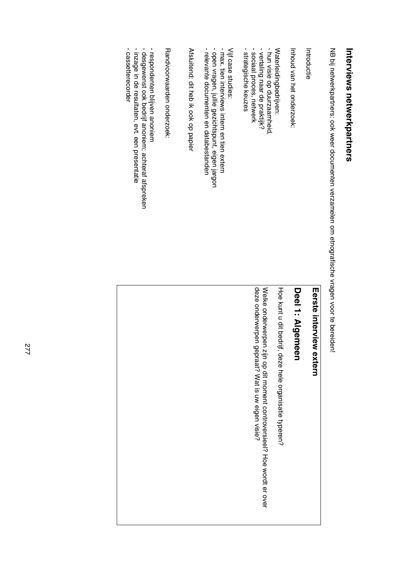# Interviews netwerkpartners **Interviews netwerkpartners**

NB bij netwerkpartners: ook weer documenten verzamelen om etnografische vragen voor te bereiden! NB bij netwerkpartners: ook weer documenten verzamelen om etnografische vragen voor te bereiden!

| Introductie                                                                                                                                                       | Eerste interview<br>extern                                                                                                    |
|-------------------------------------------------------------------------------------------------------------------------------------------------------------------|-------------------------------------------------------------------------------------------------------------------------------|
| Inport on the tonder zoek:                                                                                                                                        | Deel 1: Algemeen                                                                                                              |
| Waterleidingbedrijven:                                                                                                                                            | Hoe kunt u dit bedrijf,<br>deze hele organisatie typeren?                                                                     |
| - strategische keuzes<br>- sociaal proces, netwerk<br>- hun visie op duurzaamheid,<br>- vertaling naar de praktijk?                                               | deze onderwerpen gepraat? Wat is uw eigen visie?<br>Welke onderwerpen<br>zijn op dit moment controversieel? Hoe wordt er over |
| - max. tien interviews intern en tien extern<br>- relevante documenten en databestanden<br>- open vragen, jullie gezichtspunt, eigen jargon<br>Vijf case studies: |                                                                                                                               |
| Atalcitend: Qit hep ik ook op papier                                                                                                                              |                                                                                                                               |
| Randvoorwaarden onderzoek:                                                                                                                                        |                                                                                                                               |
| - cassetterecorder<br>- inzage in de resultaten, evt. een presentatie<br>- desgewenst ook bedrijf anoniem; achteraf afspreken<br>- respondenten plijven anoniern  |                                                                                                                               |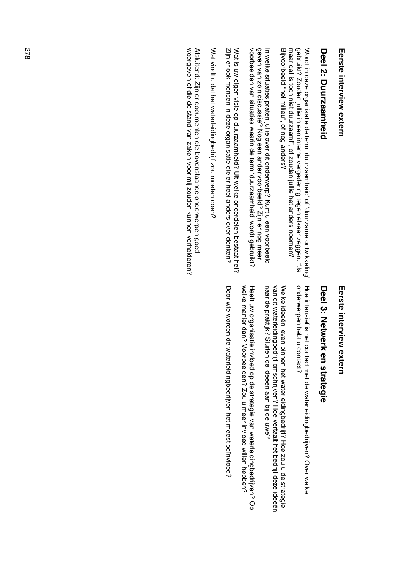| <b>Morate interview extern</b>                                                                                                                                                                                                       | Eerste interview<br>extern                                                                                                                              |
|--------------------------------------------------------------------------------------------------------------------------------------------------------------------------------------------------------------------------------------|---------------------------------------------------------------------------------------------------------------------------------------------------------|
| Deel 2: Durzaamheid                                                                                                                                                                                                                  | Deel 3: Netwerk en strategie                                                                                                                            |
| gebruikt? Zouden jullie in een interne vergadering tegen elkaar zeggen: "Ja<br>Wordt in deze organisatie de term 'drurzaambeid' of 'duruzambe ontwikkeling'<br>maar dat is toch niet duurzaam!", of zouden jullie het anders noemen? | onderwerpen hebt u contact?<br>Hoo is terminally contract that do say the form that is not a select is not allow                                        |
| Bijvoorbeeld "het milieu", of nog anders?                                                                                                                                                                                            | vardit waterleiding bedrijf bertaatt het beerde bereer beerde beer dee deen<br>Welke idees leven binnen het waterleidingbedrijf? Hoe zou u de strategie |
| geven van zo'n discussie? Nog een ander voorbeeld? Zijn er nog meer<br>In welke situaties praten jullie over dit onderwerp.' Kunt u een voorbeeld                                                                                    | naar de praktijk? Sluiten de ideeën aan bij de uwe?                                                                                                     |
| voorbeelden van situaties waarin de term 'duurzaamheid' wordt gebruikt?                                                                                                                                                              | welke manier dan? Voorbeelden? Zou u meer invloed willen hebben?<br>Heeft uw organisatie<br>invloed op de strategie van waterleidingbedrijven? Op       |
| Zijn er ook mensen in deze organisatie die er heel anders over denken?<br>Wat is own eighen visie op duraamheid? Uit welke onderdelen bestaat het?                                                                                   | Door wie worden de waterleidingbedrijven het meest beïnvloed?                                                                                           |
| Wat vindt u dat het waterleidingbedrijf zou moeten doen?                                                                                                                                                                             |                                                                                                                                                         |
| weergeven of die de stand van zaken voor mij zouden kunnen verleideren?<br>Afsluitend: Zijn er documenten die bovenstaande onderwerpen goed                                                                                          |                                                                                                                                                         |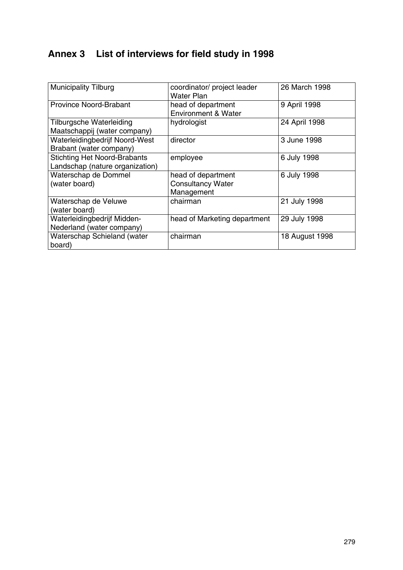### **Annex 3 List of interviews for field study in 1998**

| <b>Municipality Tilburg</b>                                            | coordinator/ project leader<br><b>Water Plan</b>             | 26 March 1998  |
|------------------------------------------------------------------------|--------------------------------------------------------------|----------------|
| <b>Province Noord-Brabant</b>                                          | head of department<br><b>Environment &amp; Water</b>         | 9 April 1998   |
| Tilburgsche Waterleiding<br>Maatschappij (water company)               | hydrologist                                                  | 24 April 1998  |
| Waterleidingbedrijf Noord-West<br>Brabant (water company)              | director                                                     | 3 June 1998    |
| <b>Stichting Het Noord-Brabants</b><br>Landschap (nature organization) | employee                                                     | 6 July 1998    |
| Waterschap de Dommel<br>(water board)                                  | head of department<br><b>Consultancy Water</b><br>Management | 6 July 1998    |
| Waterschap de Veluwe<br>(water board)                                  | chairman                                                     | 21 July 1998   |
| Waterleidingbedrijf Midden-<br>Nederland (water company)               | head of Marketing department                                 | 29 July 1998   |
| Waterschap Schieland (water<br>board)                                  | chairman                                                     | 18 August 1998 |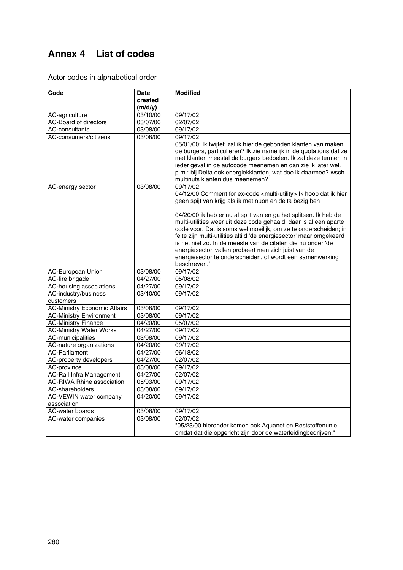### **Annex 4 List of codes**

Actor codes in alphabetical order

| Code                                | <b>Date</b>                  | <b>Modified</b>                                                                                                                                                                                                                                                                                                                                                                                                                                                                                                                                                                                                                                          |
|-------------------------------------|------------------------------|----------------------------------------------------------------------------------------------------------------------------------------------------------------------------------------------------------------------------------------------------------------------------------------------------------------------------------------------------------------------------------------------------------------------------------------------------------------------------------------------------------------------------------------------------------------------------------------------------------------------------------------------------------|
|                                     | created                      |                                                                                                                                                                                                                                                                                                                                                                                                                                                                                                                                                                                                                                                          |
|                                     | (m/d/y)                      |                                                                                                                                                                                                                                                                                                                                                                                                                                                                                                                                                                                                                                                          |
| AC-agriculture                      | 03/10/00                     | 09/17/02                                                                                                                                                                                                                                                                                                                                                                                                                                                                                                                                                                                                                                                 |
| <b>AC-Board of directors</b>        | 03/07/00                     | 02/07/02                                                                                                                                                                                                                                                                                                                                                                                                                                                                                                                                                                                                                                                 |
| <b>AC-consultants</b>               | 03/08/00                     | 09/17/02                                                                                                                                                                                                                                                                                                                                                                                                                                                                                                                                                                                                                                                 |
| AC-consumers/citizens               | 03/08/00                     | 09/17/02<br>05/01/00: Ik twijfel: zal ik hier de gebonden klanten van maken<br>de burgers, particulieren? Ik zie namelijk in de quotations dat ze<br>met klanten meestal de burgers bedoelen. Ik zal deze termen in<br>ieder geval in de autocode meenemen en dan zie ik later wel.<br>p.m.: bij Delta ook energiekklanten, wat doe ik daarmee? wsch<br>multinuts klanten dus meenemen?                                                                                                                                                                                                                                                                  |
| AC-energy sector                    | 03/08/00                     | 09/17/02<br>04/12/00 Comment for ex-code <multi-utility> Ik hoop dat ik hier<br/>geen spijt van krijg als ik met nuon en delta bezig ben<br/>04/20/00 ik heb er nu al spijt van en ga het splitsen. Ik heb de<br/>multi-utilities weer uit deze code gehaald; daar is al een aparte<br/>code voor. Dat is soms wel moeilijk, om ze te onderscheiden; in<br/>feite zijn multi-utilities altijd 'de energiesector' maar omgekeerd<br/>is het niet zo. In de meeste van de citaten die nu onder 'de<br/>energiesector' vallen probeert men zich juist van de<br/>energiesector te onderscheiden, of wordt een samenwerking<br/>beschreven."</multi-utility> |
| <b>AC-European Union</b>            | 03/08/00                     | 09/17/02                                                                                                                                                                                                                                                                                                                                                                                                                                                                                                                                                                                                                                                 |
| AC-fire brigade                     | 04/27/00                     | 05/08/02                                                                                                                                                                                                                                                                                                                                                                                                                                                                                                                                                                                                                                                 |
| AC-housing associations             | 04/27/00                     | 09/17/02                                                                                                                                                                                                                                                                                                                                                                                                                                                                                                                                                                                                                                                 |
| AC-industry/business<br>customers   | 03/10/00                     | 09/17/02                                                                                                                                                                                                                                                                                                                                                                                                                                                                                                                                                                                                                                                 |
| <b>AC-Ministry Economic Affairs</b> | 03/08/00                     | 09/17/02                                                                                                                                                                                                                                                                                                                                                                                                                                                                                                                                                                                                                                                 |
| <b>AC-Ministry Environment</b>      | 03/08/00                     | 09/17/02                                                                                                                                                                                                                                                                                                                                                                                                                                                                                                                                                                                                                                                 |
| <b>AC-Ministry Finance</b>          | 04/20/00                     | 05/07/02                                                                                                                                                                                                                                                                                                                                                                                                                                                                                                                                                                                                                                                 |
| <b>AC-Ministry Water Works</b>      | 04/27/00                     | 09/17/02                                                                                                                                                                                                                                                                                                                                                                                                                                                                                                                                                                                                                                                 |
| AC-municipalities                   | 03/08/00                     | 09/17/02                                                                                                                                                                                                                                                                                                                                                                                                                                                                                                                                                                                                                                                 |
| AC-nature organizations             | 04/20/00                     | 09/17/02                                                                                                                                                                                                                                                                                                                                                                                                                                                                                                                                                                                                                                                 |
| <b>AC-Parliament</b>                | 04/27/00                     | 06/18/02                                                                                                                                                                                                                                                                                                                                                                                                                                                                                                                                                                                                                                                 |
| AC-property developers              | 04/27/00                     | 02/07/02                                                                                                                                                                                                                                                                                                                                                                                                                                                                                                                                                                                                                                                 |
| AC-province                         | 03/08/00                     | 09/17/02                                                                                                                                                                                                                                                                                                                                                                                                                                                                                                                                                                                                                                                 |
| AC-Rail Infra Management            | 04/27/00                     | 02/07/02                                                                                                                                                                                                                                                                                                                                                                                                                                                                                                                                                                                                                                                 |
| <b>AC-RIWA Rhine association</b>    | 05/03/00                     | 09/17/02                                                                                                                                                                                                                                                                                                                                                                                                                                                                                                                                                                                                                                                 |
| AC-shareholders                     | 03/08/00                     | 09/17/02                                                                                                                                                                                                                                                                                                                                                                                                                                                                                                                                                                                                                                                 |
| AC-VEWIN water company              | $\frac{1}{04}{\sqrt{20}}/00$ | 09/17/02                                                                                                                                                                                                                                                                                                                                                                                                                                                                                                                                                                                                                                                 |
| association                         |                              |                                                                                                                                                                                                                                                                                                                                                                                                                                                                                                                                                                                                                                                          |
| <b>AC-water boards</b>              | 03/08/00                     | 09/17/02                                                                                                                                                                                                                                                                                                                                                                                                                                                                                                                                                                                                                                                 |
| AC-water companies                  | 03/08/00                     | 02/07/02                                                                                                                                                                                                                                                                                                                                                                                                                                                                                                                                                                                                                                                 |
|                                     |                              | "05/23/00 hieronder komen ook Aquanet en Reststoffenunie                                                                                                                                                                                                                                                                                                                                                                                                                                                                                                                                                                                                 |
|                                     |                              | omdat dat die opgericht zijn door de waterleidingbedrijven."                                                                                                                                                                                                                                                                                                                                                                                                                                                                                                                                                                                             |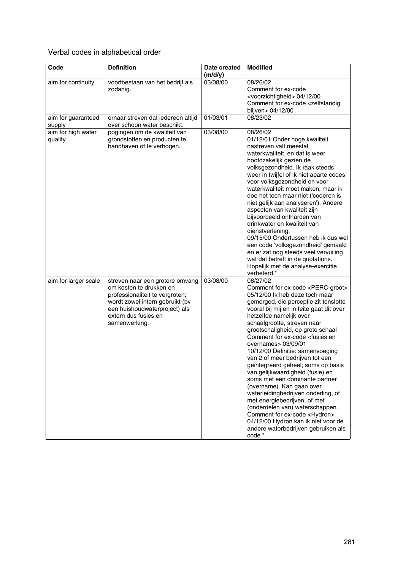### Verbal codes in alphabetical order

| Code                          | <b>Definition</b>                                                                                                                                                                                          | Date created<br>(m/d/y) | <b>Modified</b>                                                                                                                                                                                                                                                                                                                                                                                                                                                                                                                                                                                                                                                                                                                                                                                                                        |
|-------------------------------|------------------------------------------------------------------------------------------------------------------------------------------------------------------------------------------------------------|-------------------------|----------------------------------------------------------------------------------------------------------------------------------------------------------------------------------------------------------------------------------------------------------------------------------------------------------------------------------------------------------------------------------------------------------------------------------------------------------------------------------------------------------------------------------------------------------------------------------------------------------------------------------------------------------------------------------------------------------------------------------------------------------------------------------------------------------------------------------------|
| aim for continuity            | voortbestaan van het bedrijf als<br>zodanig.                                                                                                                                                               | 03/08/00                | 08/26/02<br>Comment for ex-code<br><voorzichtigheid> 04/12/00<br/>Comment for ex-code <zelfstandig<br>blijven&gt; 04/12/00</zelfstandig<br></voorzichtigheid>                                                                                                                                                                                                                                                                                                                                                                                                                                                                                                                                                                                                                                                                          |
| aim for guaranteed<br>supply  | ernaar streven dat iedereen altijd<br>over schoon water beschikt.                                                                                                                                          | 01/03/01                | 08/23/02                                                                                                                                                                                                                                                                                                                                                                                                                                                                                                                                                                                                                                                                                                                                                                                                                               |
| aim for high water<br>quality | pogingen om de kwaliteit van<br>grondstoffen en producten te<br>handhaven of te verhogen.                                                                                                                  | 03/08/00                | 08/26/02<br>01/12/01 Onder hoge kwaliteit<br>nastreven valt meestal<br>waterkwaliteit, en dat is weer<br>hoofdzakelijk gezien de<br>volksgezondheid. Ik raak steeds<br>weer in twijfel of ik niet aparte codes<br>voor volksgezondheid en voor<br>waterkwaliteit moet maken, maar ik<br>doe het toch maar niet ('coderen is<br>niet gelijk aan analyseren'). Andere<br>aspecten van kwaliteit zijn<br>bijvoorbeeld ontharden van<br>drinkwater en kwaliteit van<br>dienstverlening.<br>09/15/00 Ondertussen heb ik dus wel<br>een code 'volksgezondheid' gemaakt<br>en er zat nog steeds veel vervuiling<br>wat dat betreft in de quotations.<br>Hopelijk met de analyse-exercitie<br>verbeterd."                                                                                                                                      |
| aim for larger scale          | streven naar een grotere omvang<br>om kosten te drukken en<br>professionaliteit te vergroten;<br>wordt zowel intern gebruikt (bv<br>een huishoudwaterproject) als<br>extern dus fusies en<br>samenwerking. | 03/08/00                | 08/27/02<br>Comment for ex-code <perc-groot><br/>05/12/00 lk heb deze toch maar<br/>gemerged, die perceptie zit tenslotte<br/>vooral bij mij en in feite gaat dit over<br/>hetzelfde namelijk over<br/>schaalgrootte, streven naar<br/>grootschaligheid, op grote schaal<br/>Comment for ex-code <fusies en<br="">overnames&gt; 03/09/01<br/>10/12/00 Definitie: samenvoeging<br/>van 2 of meer bedrijven tot een<br/>geintegreerd geheel; soms op basis<br/>van gelijkwaardigheid (fusie) en<br/>soms met een dominante partner<br/>(overname). Kan gaan over<br/>waterleidingbedrijven onderling, of<br/>met energiebedrijven, of met<br/>(onderdelen van) waterschappen.<br/>Comment for ex-code <hydron><br/>04/12/00 Hydron kan ik niet voor de<br/>andere waterbedrijven gebruiken als<br/>code."</hydron></fusies></perc-groot> |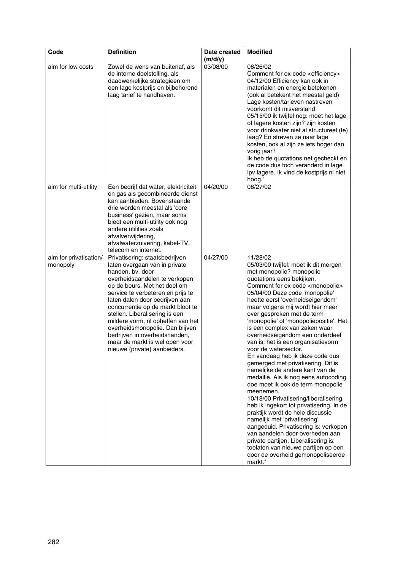| Code                               | <b>Definition</b>                                                                                                                                                                                                                                                                                                                                                                                                                                                             | Date created<br>(m/d/y) | <b>Modified</b>                                                                                                                                                                                                                                                                                                                                                                                                                                                                                                                                                                                                                                                                                                                                                                                                                                                                                                                                                                                                                                                                 |
|------------------------------------|-------------------------------------------------------------------------------------------------------------------------------------------------------------------------------------------------------------------------------------------------------------------------------------------------------------------------------------------------------------------------------------------------------------------------------------------------------------------------------|-------------------------|---------------------------------------------------------------------------------------------------------------------------------------------------------------------------------------------------------------------------------------------------------------------------------------------------------------------------------------------------------------------------------------------------------------------------------------------------------------------------------------------------------------------------------------------------------------------------------------------------------------------------------------------------------------------------------------------------------------------------------------------------------------------------------------------------------------------------------------------------------------------------------------------------------------------------------------------------------------------------------------------------------------------------------------------------------------------------------|
| aim for low costs                  | Zowel de wens van buitenaf, als<br>de interne doelstelling, als<br>daadwerkelijke strategieen om<br>een lage kostprijs en bijbehorend<br>laag tarief te handhaven.                                                                                                                                                                                                                                                                                                            | 03/08/00                | 08/26/02<br>Comment for ex-code <efficiency><br/>04/12/00 Efficiency kan ook in<br/>materialen en energie betekenen<br/>(ook al betekent het meestal geld)<br/>Lage kosten/tarieven nastreven<br/>voorkomt dit misverstand<br/>05/15/00 ik twijfel nog: moet het lage<br/>of lagere kosten zijn? zijn kosten<br/>voor drinkwater niet al structureel (te)<br/>laag? En streven ze naar lage<br/>kosten, ook al zijn ze iets hoger dan<br/>vorig jaar?<br/>Ik heb de quotations net gecheckt en<br/>de code dus toch veranderd in lage<br/>ipv lagere. Ik vind de kostprijs nl niet<br/>hoog."</efficiency>                                                                                                                                                                                                                                                                                                                                                                                                                                                                      |
| aim for multi-utility              | Een bedrijf dat water, elektriciteit<br>en gas als gecombineerde dienst<br>kan aanbieden. Bovenstaande<br>drie worden meestal als 'core<br>business' gezien, maar soms<br>biedt een multi-utility ook nog<br>andere utilities zoals<br>afvalverwijdering,<br>afvalwaterzuivering, kabel-TV,<br>telecom en internet.                                                                                                                                                           | 04/20/00                | 08/27/02                                                                                                                                                                                                                                                                                                                                                                                                                                                                                                                                                                                                                                                                                                                                                                                                                                                                                                                                                                                                                                                                        |
| aim for privatisation/<br>monopoly | Privatisering: staatsbedrijven<br>laten overgaan van in private<br>handen, bv. door<br>overheidsaandelen te verkopen<br>op de beurs. Met het doel om<br>service te verbeteren en prijs te<br>laten dalen door bedrijven aan<br>concurrentie op de markt bloot te<br>stellen. Liberalisering is een<br>mildere vorm, nl opheffen van het<br>overheidsmonopolie. Dan blijven<br>bedrijven in overheidshanden,<br>maar de markt is wel open voor<br>nieuwe (private) aanbieders. | 04/27/00                | 11/28/02<br>05/03/00 twijfel: moet ik dit mergen<br>met monopolie? monopolie<br>quotations eens bekijken.<br>Comment for ex-code <monopolie><br/>05/04/00 Deze code 'monopolie'<br/>heette eerst 'overheidseigendom'<br/>maar volgens mij wordt hier meer<br/>over gesproken met de term<br/>'monopolie' of 'monopoliepositie'. Het<br/>is een complex van zaken waar<br/>overheidseigendom een onderdeel<br/>van is; het is een organisatievorm<br/>voor de watersector.<br/>En vandaag heb ik deze code dus<br/>gemerged met privatisering. Dit is<br/>namelijke de andere kant van de<br/>medaille. Als ik nog eens autocoding<br/>doe moet ik ook de term monopolie<br/>meenemen.<br/>10/18/00 Privatisering/liberalisering<br/>heb ik ingekort tot privatisering. In de<br/>praktijk wordt de hele discussie<br/>namelijk met 'privatisering'<br/>aangeduid. Privatisering is: verkopen<br/>van aandelen door overheden aan<br/>private partijen. Liberalisering is:<br/>toelaten van nieuwe partijen op een<br/>door de overheid gemonopoliseerde<br/>markt."</monopolie> |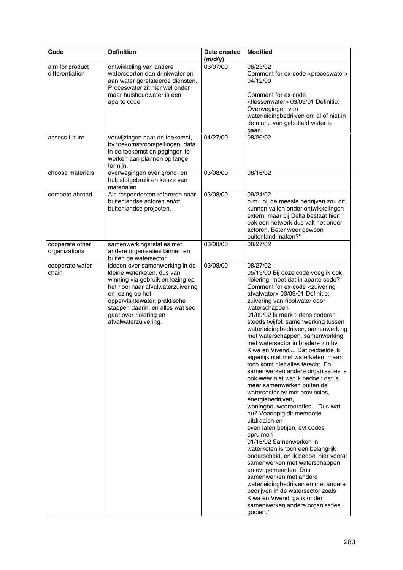| Code                               | <b>Definition</b>                                                                                                                                                                                                                                                                | Date created<br>(m/d/y) | <b>Modified</b>                                                                                                                                                                                                                                                                                                                                                                                                                                                                                                                                                                                                                                                                                                                                                                                                                                                                                                                                                                                                                                                                                                                                                                                                             |
|------------------------------------|----------------------------------------------------------------------------------------------------------------------------------------------------------------------------------------------------------------------------------------------------------------------------------|-------------------------|-----------------------------------------------------------------------------------------------------------------------------------------------------------------------------------------------------------------------------------------------------------------------------------------------------------------------------------------------------------------------------------------------------------------------------------------------------------------------------------------------------------------------------------------------------------------------------------------------------------------------------------------------------------------------------------------------------------------------------------------------------------------------------------------------------------------------------------------------------------------------------------------------------------------------------------------------------------------------------------------------------------------------------------------------------------------------------------------------------------------------------------------------------------------------------------------------------------------------------|
| aim for product<br>differentiation | ontwikkeling van andere<br>watersoorten dan drinkwater en<br>aan water gerelateerde diensten.<br>Proceswater zit hier wel onder<br>maar huishoudwater is een<br>aparte code                                                                                                      | 03/07/00                | 08/23/02<br>Comment for ex-code <proceswater><br/>04/12/00<br/>Comment for ex-code<br/><flessenwater> 03/09/01 Definitie:<br/>Overwegingen van<br/>waterleidingbedrijven om al of niet in<br/>de markt van gebotteld water te<br/>gaan.</flessenwater></proceswater>                                                                                                                                                                                                                                                                                                                                                                                                                                                                                                                                                                                                                                                                                                                                                                                                                                                                                                                                                        |
| assess future                      | verwijzingen naar de toekomst,<br>bv toekomstvoorspellingen, data<br>in de toekomst en pogingen te<br>werken aan plannen op lange<br>termijn.                                                                                                                                    | 04/27/00                | 08/26/02                                                                                                                                                                                                                                                                                                                                                                                                                                                                                                                                                                                                                                                                                                                                                                                                                                                                                                                                                                                                                                                                                                                                                                                                                    |
| choose materials                   | overwegingen over grond- en<br>hulpstofgebruik en keuze van<br>materialen                                                                                                                                                                                                        | 03/08/00                | 08/16/02                                                                                                                                                                                                                                                                                                                                                                                                                                                                                                                                                                                                                                                                                                                                                                                                                                                                                                                                                                                                                                                                                                                                                                                                                    |
| compete abroad                     | Als respondenten refereren naar<br>buitenlandse actoren en/of<br>buitenlandse projecten.                                                                                                                                                                                         | 03/08/00                | 09/24/02<br>p.m.: bij de meeste bedrijven zou dit<br>kunnen vallen onder ontwikkelingen<br>extern, maar bij Delta bestaat hier<br>ook een netwerk dus valt het onder<br>actoren. Beter weer gewoon<br>buitenland maken?"                                                                                                                                                                                                                                                                                                                                                                                                                                                                                                                                                                                                                                                                                                                                                                                                                                                                                                                                                                                                    |
| cooperate other<br>organizations   | samenwerkingsrelaties met<br>andere organisaties binnen en<br>buiten de watersector                                                                                                                                                                                              | 03/08/00                | 08/27/02                                                                                                                                                                                                                                                                                                                                                                                                                                                                                                                                                                                                                                                                                                                                                                                                                                                                                                                                                                                                                                                                                                                                                                                                                    |
| cooperate water<br>chain           | ideeen over samenwerking in de<br>kleine waterketen, dus van<br>winning via gebruik en lozing op<br>het riool naar afvalwaterzuivering<br>en lozing op het<br>oppervlaktewater; praktische<br>stappen daarin; en alles wat sec<br>gaat over riolering en<br>afvalwaterzuivering. | 03/08/00                | 08/27/02<br>05/19/00 Bij deze code voeg ik ook<br>riolering; moet dat in aparte code?<br>Comment for ex-code <zuivering<br>afvalwater&gt; 03/09/01 Definitie:<br/>zuivering van rioolwater door<br/>waterschappen<br/>01/09/02 lk merk tijdens coderen<br/>steeds twijfel: samenwerking tussen<br/>waterleidingbedrijven, samenwerking<br/>met waterschappen, samenwerking<br/>met watersector in bredere zin bv<br/>Kiwa en Vivendi Dat bedoelde ik<br/>eigenlijk niet met waterketen, maar<br/>toch komt hier alles terecht. En<br/>samenwerken andere organisaties is<br/>ook weer niet wat ik bedoel: dat is<br/>meer samenwerken buiten de<br/>watersector bv met provincies,<br/>energiebedrijven,<br/>woningbouwcorporaties Dus wat<br/>nu? Voorlopig dit memootje<br/>uitdraaien en<br/>even laten betijen, evt codes<br/>opruimen<br/>01/16/02 Samenwerken in<br/>waterketen is toch een belangrijk<br/>onderscheid, en ik bedoel hier vooral<br/>samenwerken met waterschappen<br/>en evt gemeenten. Dus<br/>samenwerken met andere<br/>waterleidingbedrijven en met andere<br/>bedrijven in de watersector zoals<br/>Kiwa en Vivendi ga ik onder<br/>samenwerken andere organisaties<br/>gooien."</zuivering<br> |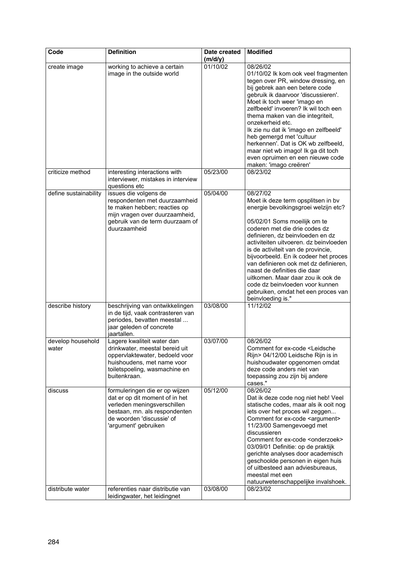| Code                        | <b>Definition</b>                                                                                                                                                                                                         | Date created<br>(m/d/y) | <b>Modified</b>                                                                                                                                                                                                                                                                                                                                                                                                                                                                                                                   |
|-----------------------------|---------------------------------------------------------------------------------------------------------------------------------------------------------------------------------------------------------------------------|-------------------------|-----------------------------------------------------------------------------------------------------------------------------------------------------------------------------------------------------------------------------------------------------------------------------------------------------------------------------------------------------------------------------------------------------------------------------------------------------------------------------------------------------------------------------------|
| create image                | working to achieve a certain<br>image in the outside world                                                                                                                                                                | 01/10/02                | 08/26/02<br>01/10/02 lk kom ook veel fragmenten<br>tegen over PR, window dressing, en<br>bij gebrek aan een betere code<br>gebruik ik daarvoor 'discussieren'.<br>Moet ik toch weer 'imago en<br>zelfbeeld' invoeren? Ik wil toch een<br>thema maken van die integriteit,<br>onzekerheid etc.<br>Ik zie nu dat ik 'imago en zelfbeeld'<br>heb gemergd met 'cultuur<br>herkennen'. Dat is OK wb zelfbeeld,<br>maar niet wb imago! Ik ga dit toch<br>even opruimen en een nieuwe code<br>maken: 'imago creëren'                     |
| criticize method            | interesting interactions with<br>interviewer, mistakes in interview<br>questions etc                                                                                                                                      | 05/23/00                | 08/23/02                                                                                                                                                                                                                                                                                                                                                                                                                                                                                                                          |
| define sustainability       | issues die volgens de<br>respondenten met duurzaamheid<br>te maken hebben; reacties op<br>mijn vragen over duurzaamheid,<br>gebruik van de term duurzaam of<br>duurzaamheid                                               | 05/04/00                | 08/27/02<br>Moet ik deze term opsplitsen in bv<br>energie bevolkingsgroei welzijn etc?<br>05/02/01 Soms moeilijk om te<br>coderen met die drie codes dz<br>definieren, dz beinvloeden en dz<br>activiteiten uitvoeren. dz beinvloeden<br>is de activiteit van de provincie,<br>bijvoorbeeld. En ik codeer het proces<br>van definieren ook met dz definieren,<br>naast de definities die daar<br>uitkomen. Maar daar zou ik ook de<br>code dz beinvloeden voor kunnen<br>gebruiken, omdat het een proces van<br>beinvloeding is." |
| describe history            | beschrijving van ontwikkelingen<br>in de tijd, vaak contrasteren van<br>periodes, bevatten meestal<br>jaar geleden of concrete<br>jaartallen.                                                                             | 03/08/00                | 11/12/02                                                                                                                                                                                                                                                                                                                                                                                                                                                                                                                          |
| develop household<br>water  | Lagere kwaliteit water dan<br>drinkwater, meestal bereid uit<br>oppervlaktewater, bedoeld voor<br>huishoudens, met name voor<br>toiletspoeling, wasmachine en<br>buitenkraan.                                             | 03/07/00                | 08/26/02<br>Comment for ex-code <leidsche<br>Rijn&gt; 04/12/00 Leidsche Rijn is in<br/>huishoudwater opgenomen omdat<br/>deze code anders niet van<br/>toepassing zou zijn bij andere<br/>cases."</leidsche<br>                                                                                                                                                                                                                                                                                                                   |
| discuss<br>distribute water | formuleringen die er op wijzen<br>dat er op dit moment of in het<br>verleden meningsverschillen<br>bestaan, mn. als respondenten<br>de woorden 'discussie' of<br>'argument' gebruiken<br>referenties naar distributie van | 05/12/00<br>03/08/00    | 08/26/02<br>Dat ik deze code nog niet heb! Veel<br>statische codes, maar als ik ooit nog<br>iets over het proces wil zeggen<br>Comment for ex-code <argument><br/>11/23/00 Samengevoegd met<br/>discussieren<br/>Comment for ex-code <onderzoek><br/>03/09/01 Definitie: op de praktijk<br/>gerichte analyses door academisch<br/>geschoolde personen in eigen huis<br/>of uitbesteed aan adviesbureaus,<br/>meestal met een<br/>natuurwetenschappelijke invalshoek.<br/>08/23/02</onderzoek></argument>                          |
|                             | leidingwater, het leidingnet                                                                                                                                                                                              |                         |                                                                                                                                                                                                                                                                                                                                                                                                                                                                                                                                   |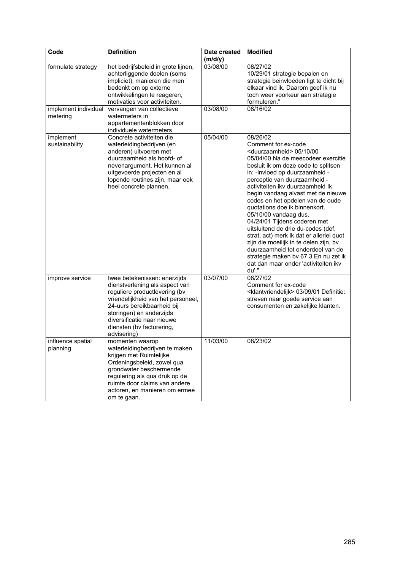| Code                             | <b>Definition</b>                                                                                                                                                                                                                                                         | Date created<br>(m/d/y) | <b>Modified</b>                                                                                                                                                                                                                                                                                                                                                                                                                                                                                                                                                                                                                                                                                             |
|----------------------------------|---------------------------------------------------------------------------------------------------------------------------------------------------------------------------------------------------------------------------------------------------------------------------|-------------------------|-------------------------------------------------------------------------------------------------------------------------------------------------------------------------------------------------------------------------------------------------------------------------------------------------------------------------------------------------------------------------------------------------------------------------------------------------------------------------------------------------------------------------------------------------------------------------------------------------------------------------------------------------------------------------------------------------------------|
| formulate strategy               | het bedrijfsbeleid in grote lijnen,<br>achterliggende doelen (soms<br>impliciet), manieren die men<br>bedenkt om op externe<br>ontwikkelingen te reageren,<br>motivaties voor activiteiten.                                                                               | 03/08/00                | 08/27/02<br>10/29/01 strategie bepalen en<br>strategie beinvloeden ligt te dicht bij<br>elkaar vind ik. Daarom geef ik nu<br>toch weer voorkeur aan strategie<br>formuleren."                                                                                                                                                                                                                                                                                                                                                                                                                                                                                                                               |
| implement individual<br>metering | vervangen van collectieve<br>watermeters in<br>appartementenblokken door<br>individuele watermeters                                                                                                                                                                       | 03/08/00                | 08/16/02                                                                                                                                                                                                                                                                                                                                                                                                                                                                                                                                                                                                                                                                                                    |
| implement<br>sustainability      | Concrete activiteiten die<br>waterleidingbedrijven (en<br>anderen) uitvoeren met<br>duurzaamheid als hoofd- of<br>nevenargument. Het kunnen al<br>uitgevoerde projecten en al<br>lopende routines zijn, maar ook<br>heel concrete plannen.                                | 05/04/00                | 08/26/02<br>Comment for ex-code<br><duurzaamheid> 05/10/00<br/>05/04/00 Na de meecodeer exercitie<br/>besluit ik om deze code te splitsen<br/>in: -invloed op duurzaamheid -<br/>perceptie van duurzaamheid -<br/>activiteiten ikv duurzaamheid Ik<br/>begin vandaag alvast met de nieuwe<br/>codes en het opdelen van de oude<br/>quotations doe ik binnenkort.<br/>05/10/00 vandaag dus.<br/>04/24/01 Tijdens coderen met<br/>uitsluitend de drie du-codes (def,<br/>strat, act) merk ik dat er allerlei quot<br/>zijn die moeilijk in te delen zijn, bv<br/>duurzaamheid tot onderdeel van de<br/>strategie maken bv 67.3 En nu zet ik<br/>dat dan maar onder 'activiteiten ikv<br/>du'."</duurzaamheid> |
| improve service                  | twee betekenissen: enerzijds<br>dienstverlening als aspect van<br>reguliere productlevering (bv<br>vriendelijkheid van het personeel,<br>24-uurs bereikbaarheid bij<br>storingen) en anderzijds<br>diversificatie naar nieuwe<br>diensten (bv facturering,<br>advisering) | 03/07/00                | 08/27/02<br>Comment for ex-code<br><klantvriendelijk> 03/09/01 Definitie:<br/>streven naar goede service aan<br/>consumenten en zakelijke klanten.</klantvriendelijk>                                                                                                                                                                                                                                                                                                                                                                                                                                                                                                                                       |
| influence spatial<br>planning    | momenten waarop<br>waterleidingbedrijven te maken<br>krijgen met Ruimtelijke<br>Ordeningsbeleid, zowel qua<br>grondwater beschermende<br>regulering als qua druk op de<br>ruimte door claims van andere<br>actoren, en manieren om ermee<br>om te gaan.                   | 11/03/00                | 08/23/02                                                                                                                                                                                                                                                                                                                                                                                                                                                                                                                                                                                                                                                                                                    |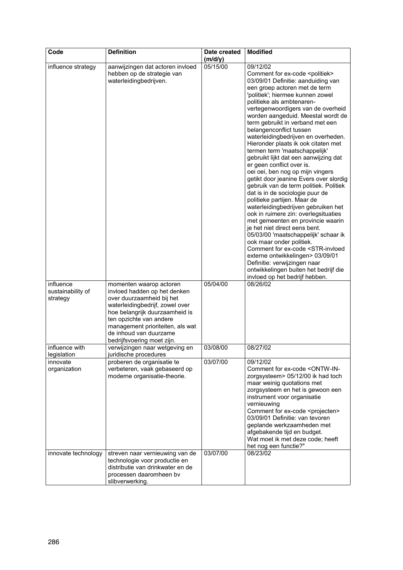| Code                                       | <b>Definition</b>                                                                                                                                                                                                                                                                | Date created<br>(m/d/y) | <b>Modified</b>                                                                                                                                                                                                                                                                                                                                                                                                                                                                                                                                                                                                                                                                                                                                                                                                                                                                                                                                                                                                                                                                                                                                                                     |
|--------------------------------------------|----------------------------------------------------------------------------------------------------------------------------------------------------------------------------------------------------------------------------------------------------------------------------------|-------------------------|-------------------------------------------------------------------------------------------------------------------------------------------------------------------------------------------------------------------------------------------------------------------------------------------------------------------------------------------------------------------------------------------------------------------------------------------------------------------------------------------------------------------------------------------------------------------------------------------------------------------------------------------------------------------------------------------------------------------------------------------------------------------------------------------------------------------------------------------------------------------------------------------------------------------------------------------------------------------------------------------------------------------------------------------------------------------------------------------------------------------------------------------------------------------------------------|
| influence strategy                         | aanwijzingen dat actoren invloed<br>hebben op de strategie van<br>waterleidingbedrijven.                                                                                                                                                                                         | 05/15/00                | 09/12/02<br>Comment for ex-code <politiek><br/>03/09/01 Definitie: aanduiding van<br/>een groep actoren met de term<br/>'politiek'; hiermee kunnen zowel<br/>politieke als ambtenaren-<br/>vertegenwoordigers van de overheid<br/>worden aangeduid. Meestal wordt de<br/>term gebruikt in verband met een<br/>belangenconflict tussen<br/>waterleidingbedrijven en overheden.<br/>Hieronder plaats ik ook citaten met<br/>termen term 'maatschappelijk'<br/>gebruikt lijkt dat een aanwijzing dat<br/>er geen conflict over is.<br/>oei oei, ben nog op mijn vingers<br/>getikt door jeanine Evers over slordig<br/>gebruik van de term politiek. Politiek<br/>dat is in de sociologie puur de<br/>politieke partijen. Maar de<br/>waterleidingbedrijven gebruiken het<br/>ook in ruimere zin: overlegsituaties<br/>met gemeenten en provincie waarin<br/>je het niet direct eens bent.<br/>05/03/00 'maatschappelijk' schaar ik<br/>ook maar onder politiek.<br/>Comment for ex-code <str-invloed<br>externe ontwikkelingen&gt; 03/09/01<br/>Definitie: verwijzingen naar<br/>ontwikkelingen buiten het bedrijf die<br/>invloed op het bedrijf hebben.</str-invloed<br></politiek> |
| influence<br>sustainability of<br>strategy | momenten waarop actoren<br>invloed hadden op het denken<br>over duurzaamheid bij het<br>waterleidingbedrijf, zowel over<br>hoe belangrijk duurzaamheid is<br>ten opzichte van andere<br>management prioriteiten, als wat<br>de inhoud van duurzame<br>bedrijfsvoering moet zijn. | 05/04/00                | 08/26/02                                                                                                                                                                                                                                                                                                                                                                                                                                                                                                                                                                                                                                                                                                                                                                                                                                                                                                                                                                                                                                                                                                                                                                            |
| influence with<br>legislation              | verwijzingen naar wetgeving en<br>juridische procedures                                                                                                                                                                                                                          | 03/08/00                | 08/27/02                                                                                                                                                                                                                                                                                                                                                                                                                                                                                                                                                                                                                                                                                                                                                                                                                                                                                                                                                                                                                                                                                                                                                                            |
| innovate<br>organization                   | proberen de organisatie te<br>verbeteren, vaak gebaseerd op<br>moderne organisatie-theorie.                                                                                                                                                                                      | 03/07/00                | 09/12/02<br>Comment for ex-code <ontw-in-<br>zorgsysteem&gt; 05/12/00 ik had toch<br/>maar weinig quotations met<br/>zorgsysteem en het is gewoon een<br/>instrument voor organisatie<br/>vernieuwing<br/>Comment for ex-code <projecten><br/>03/09/01 Definitie: van tevoren<br/>geplande werkzaamheden met<br/>afgebakende tijd en budget.<br/>Wat moet ik met deze code; heeft<br/>het nog een functie?"</projecten></ontw-in-<br>                                                                                                                                                                                                                                                                                                                                                                                                                                                                                                                                                                                                                                                                                                                                               |
| innovate technology                        | streven naar vernieuwing van de<br>technologie voor productie en<br>distributie van drinkwater en de<br>processen daaromheen bv<br>slibverwerking.                                                                                                                               | 03/07/00                | 08/23/02                                                                                                                                                                                                                                                                                                                                                                                                                                                                                                                                                                                                                                                                                                                                                                                                                                                                                                                                                                                                                                                                                                                                                                            |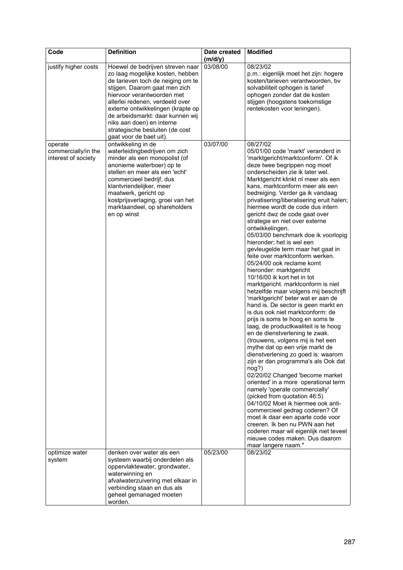| Code                                                  | <b>Definition</b>                                                                                                                                                                                                                                                                                                                                                               | Date created<br>(m/d/y) | <b>Modified</b>                                                                                                                                                                                                                                                                                                                                                                                                                                                                                                                                                                                                                                                                                                                                                                                                                                                                                                                                                                                                                                                                                                                                                                                                                                                                                                                                                                                                                                                                                                                                           |
|-------------------------------------------------------|---------------------------------------------------------------------------------------------------------------------------------------------------------------------------------------------------------------------------------------------------------------------------------------------------------------------------------------------------------------------------------|-------------------------|-----------------------------------------------------------------------------------------------------------------------------------------------------------------------------------------------------------------------------------------------------------------------------------------------------------------------------------------------------------------------------------------------------------------------------------------------------------------------------------------------------------------------------------------------------------------------------------------------------------------------------------------------------------------------------------------------------------------------------------------------------------------------------------------------------------------------------------------------------------------------------------------------------------------------------------------------------------------------------------------------------------------------------------------------------------------------------------------------------------------------------------------------------------------------------------------------------------------------------------------------------------------------------------------------------------------------------------------------------------------------------------------------------------------------------------------------------------------------------------------------------------------------------------------------------------|
| justify higher costs                                  | Hoewel de bedrijven streven naar<br>zo laag mogelijke kosten, hebben<br>de tarieven toch de neiging om te<br>stijgen. Daarom gaat men zich<br>hiervoor verantwoorden met<br>allerlei redenen, verdeeld over<br>externe ontwikkelingen (krapte op<br>de arbeidsmarkt: daar kunnen wij<br>niks aan doen) en interne<br>strategische besluiten (de cost<br>gaat voor de baet uit). | 03/08/00                | 08/23/02<br>p.m.: eigenlijk moet het zijn: hogere<br>kosten/tarieven verantwoorden, bv<br>solvabiliteit ophogen is tarief<br>ophogen zonder dat de kosten<br>stijgen (hoogstens toekomstige<br>rentekosten voor leningen).                                                                                                                                                                                                                                                                                                                                                                                                                                                                                                                                                                                                                                                                                                                                                                                                                                                                                                                                                                                                                                                                                                                                                                                                                                                                                                                                |
| operate<br>commercially/in the<br>interest of society | ontwikkeling in de<br>waterleidingbedrijven om zich<br>minder als een monopolist (of<br>anonieme waterboer) op te<br>stellen en meer als een 'echt'<br>commercieel bedrijf, dus<br>klantvriendelijker, meer<br>maatwerk, gericht op<br>kostprijsverlaging, groei van het<br>marktaandeel, op shareholders<br>en op winst                                                        | 03/07/00                | 08/27/02<br>05/01/00 code 'markt' veranderd in<br>'marktgericht/marktconform'. Of ik<br>deze twee begrippen nog moet<br>onderscheiden zie ik later wel.<br>Marktgericht klinkt nl meer als een<br>kans, marktconform meer als een<br>bedreiging. Verder ga ik vandaag<br>privatisering/liberalisering eruit halen;<br>hiermee wordt de code dus intern<br>gericht dwz de code gaat over<br>strategie en niet over externe<br>ontwikkelingen.<br>05/03/00 benchmark doe ik voorlopig<br>hieronder; het is wel een<br>gevleugelde term maar het gaat in<br>feite over marktconform werken.<br>05/24/00 ook reclame komt<br>hieronder: marktgericht<br>10/16/00 ik kort het in tot<br>marktgericht. marktconform is niet<br>hetzelfde maar volgens mij beschrijft<br>'marktgericht' beter wat er aan de<br>hand is. De sector is geen markt en<br>is dus ook niet marktconform: de<br>prijs is soms te hoog en soms te<br>laag, de productkwaliteit is te hoog<br>en de dienstverlening te zwak.<br>(trouwens, volgens mij is het een<br>mythe dat op een vrije markt de<br>dienstverlening zo goed is: waarom<br>zijn er dan programma's als Ook dat<br>nog?)<br>02/20/02 Changed 'become market<br>oriented' in a more operational term<br>namely 'operate commercially'<br>(picked from quotation 46:5)<br>04/10/02 Moet ik hiermee ook anti-<br>commercieel gedrag coderen? Of<br>moet ik daar een aparte code voor<br>creeren. Ik ben nu PWN aan het<br>coderen maar wil eigenlijk niet teveel<br>nieuwe codes maken. Dus daarom<br>maar langere naam." |
| optimize water<br>system                              | denken over water als een<br>systeem waarbij onderdelen als<br>oppervlaktewater, grondwater,<br>waterwinning en<br>afvalwaterzuivering met elkaar in<br>verbinding staan en dus als<br>geheel gemanaged moeten<br>worden.                                                                                                                                                       | 05/23/00                | 08/23/02                                                                                                                                                                                                                                                                                                                                                                                                                                                                                                                                                                                                                                                                                                                                                                                                                                                                                                                                                                                                                                                                                                                                                                                                                                                                                                                                                                                                                                                                                                                                                  |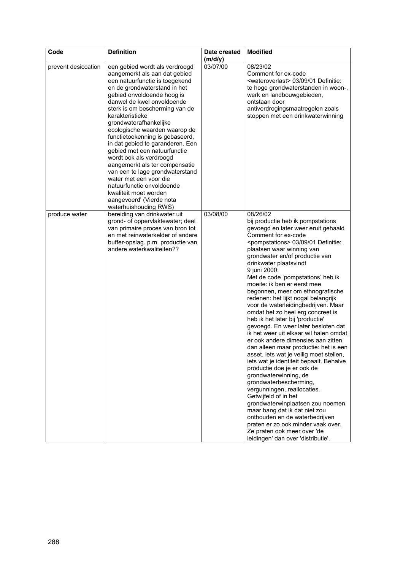| Code                | <b>Definition</b>                                                                                                                                                                                                                                                                                                                                                                                                                                                                                                                                                                                                                                         | Date created<br>(m/d/y) | <b>Modified</b>                                                                                                                                                                                                                                                                                                                                                                                                                                                                                                                                                                                                                                                                                                                                                                                                                                                                                                                                                                                                                                                                                                                                                                      |
|---------------------|-----------------------------------------------------------------------------------------------------------------------------------------------------------------------------------------------------------------------------------------------------------------------------------------------------------------------------------------------------------------------------------------------------------------------------------------------------------------------------------------------------------------------------------------------------------------------------------------------------------------------------------------------------------|-------------------------|--------------------------------------------------------------------------------------------------------------------------------------------------------------------------------------------------------------------------------------------------------------------------------------------------------------------------------------------------------------------------------------------------------------------------------------------------------------------------------------------------------------------------------------------------------------------------------------------------------------------------------------------------------------------------------------------------------------------------------------------------------------------------------------------------------------------------------------------------------------------------------------------------------------------------------------------------------------------------------------------------------------------------------------------------------------------------------------------------------------------------------------------------------------------------------------|
| prevent desiccation | een gebied wordt als verdroogd<br>aangemerkt als aan dat gebied<br>een natuurfunctie is toegekend<br>en de grondwaterstand in het<br>gebied onvoldoende hoog is<br>danwel de kwel onvoldoende<br>sterk is om bescherming van de<br>karakteristieke<br>grondwaterafhankelijke<br>ecologische waarden waarop de<br>functietoekenning is gebaseerd,<br>in dat gebied te garanderen. Een<br>gebied met een natuurfunctie<br>wordt ook als verdroogd<br>aangemerkt als ter compensatie<br>van een te lage grondwaterstand<br>water met een voor die<br>natuurfunctie onvoldoende<br>kwaliteit moet worden<br>aangevoerd' (Vierde nota<br>waterhuishouding RWS) | 03/07/00                | 08/23/02<br>Comment for ex-code<br><wateroverlast> 03/09/01 Definitie:<br/>te hoge grondwaterstanden in woon-,<br/>werk en landbouwgebieden,<br/>ontstaan door<br/>antiverdrogingsmaatregelen zoals<br/>stoppen met een drinkwaterwinning</wateroverlast>                                                                                                                                                                                                                                                                                                                                                                                                                                                                                                                                                                                                                                                                                                                                                                                                                                                                                                                            |
| produce water       | bereiding van drinkwater uit<br>grond- of oppervlaktewater; deel<br>van primaire proces van bron tot<br>en met reinwaterkelder of andere<br>buffer-opslag. p.m. productie van<br>andere waterkwaliteiten??                                                                                                                                                                                                                                                                                                                                                                                                                                                | 03/08/00                | 08/26/02<br>bij productie heb ik pompstations<br>gevoegd en later weer eruit gehaald<br>Comment for ex-code<br><pompstations> 03/09/01 Definitie:<br/>plaatsen waar winning van<br/>grondwater en/of productie van<br/>drinkwater plaatsvindt<br/>9 juni 2000:<br/>Met de code 'pompstations' heb ik<br/>moeite: ik ben er eerst mee<br/>begonnen, meer om ethnografische<br/>redenen: het lijkt nogal belangrijk<br/>voor de waterleidingbedrijven. Maar<br/>omdat het zo heel erg concreet is<br/>heb ik het later bij 'productie'<br/>gevoegd. En weer later besloten dat<br/>ik het weer uit elkaar wil halen omdat<br/>er ook andere dimensies aan zitten<br/>dan alleen maar productie: het is een<br/>asset, iets wat je veilig moet stellen,<br/>iets wat je identiteit bepaalt. Behalve<br/>productie doe je er ook de<br/>grondwaterwinning, de<br/>grondwaterbescherming,<br/>vergunningen, reallocaties.<br/>Getwijfeld of in het<br/>grondwaterwinplaatsen zou noemen<br/>maar bang dat ik dat niet zou<br/>onthouden en de waterbedrijven<br/>praten er zo ook minder vaak over.<br/>Ze praten ook meer over 'de<br/>leidingen' dan over 'distributie'.</pompstations> |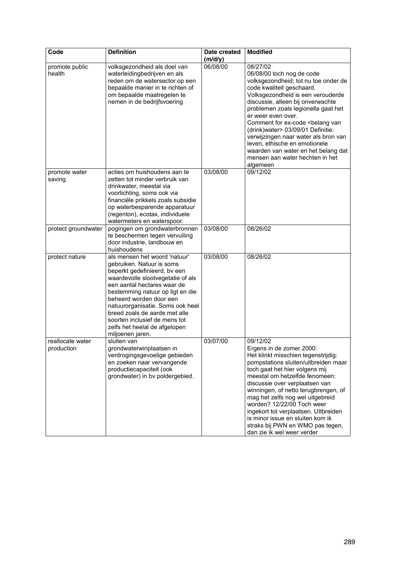| Code                           | <b>Definition</b>                                                                                                                                                                                                                                                                                                                                                                        | Date created | <b>Modified</b>                                                                                                                                                                                                                                                                                                                                                                                                                                                                                                |
|--------------------------------|------------------------------------------------------------------------------------------------------------------------------------------------------------------------------------------------------------------------------------------------------------------------------------------------------------------------------------------------------------------------------------------|--------------|----------------------------------------------------------------------------------------------------------------------------------------------------------------------------------------------------------------------------------------------------------------------------------------------------------------------------------------------------------------------------------------------------------------------------------------------------------------------------------------------------------------|
|                                |                                                                                                                                                                                                                                                                                                                                                                                          | (m/d/y)      |                                                                                                                                                                                                                                                                                                                                                                                                                                                                                                                |
| promote public<br>health       | volksgezondheid als doel van<br>waterleidingbedrijven en als<br>reden om de watersector op een<br>bepaalde manier in te richten of<br>om bepaalde maatregelen te<br>nemen in de bedrijfsvoering                                                                                                                                                                                          | 06/08/00     | 08/27/02<br>06/08/00 toch nog de code<br>volksgezondheid; tot nu toe onder de<br>code kwaliteit geschaard.<br>Volksgezondheid is een verouderde<br>discussie, alleen bij onverwachte<br>problemen zoals legionella gaat het<br>er weer even over.<br>Comment for ex-code <belang van<br="">(drink) water &gt; 03/09/01 Definitie:<br/>verwijzingen naar water als bron van<br/>leven, ethische en emotionele<br/>waarden van water en het belang dat<br/>mensen aan water hechten in het<br/>algemeen</belang> |
| promote water<br>saving        | acties om huishoudens aan te<br>zetten tot minder verbruik van<br>drinkwater, meestal via<br>voorlichting, soms ook via<br>financiële prikkels zoals subsidie<br>op waterbesparende apparatuur<br>(regenton), ecotax, individuele<br>watermeters en waterspoor.                                                                                                                          | 03/08/00     | 09/12/02                                                                                                                                                                                                                                                                                                                                                                                                                                                                                                       |
| protect groundwater            | pogingen om grondwaterbronnen<br>te beschermen tegen vervuiling<br>door industrie, landbouw en<br>huishoudens                                                                                                                                                                                                                                                                            | 03/08/00     | 08/26/02                                                                                                                                                                                                                                                                                                                                                                                                                                                                                                       |
| protect nature                 | als mensen het woord 'natuur'<br>gebruiken. Natuur is soms<br>beperkt gedefinieerd, bv een<br>waardevolle slootvegetatie of als<br>een aantal hectares waar de<br>bestemming natuur op ligt en die<br>beheerd worden door een<br>natuurorganisatie. Soms ook heel<br>breed zoals de aarde met alle<br>soorten inclusief de mens tot<br>zelfs het heelal de afgelopen<br>miljoenen jaren. | 03/08/00     | 08/26/02                                                                                                                                                                                                                                                                                                                                                                                                                                                                                                       |
| reallocate water<br>production | sluiten van<br>grondwaterwinplaatsen in<br>verdrogingsgevoelige gebieden<br>en zoeken naar vervangende<br>productiecapaciteit (ook<br>grondwater) in bv poldergebied.                                                                                                                                                                                                                    | 03/07/00     | 09/12/02<br>Ergens in de zomer 2000:<br>Het klinkt misschien tegenstrijdig:<br>pompstations sluiten/uitbreiden maar<br>toch gaat het hier volgens mij<br>meestal om hetzelfde fenomeen:<br>discussie over verplaatsen van<br>winningen, of netto terugbrengen, of<br>mag het zelfs nog wel uitgebreid<br>worden? 12/22/00 Toch weer<br>ingekort tot verplaatsen. Ultbreiden<br>is minor issue en sluiten kom ik<br>straks bij PWN en WMO pas tegen,<br>dan zie ik wel weer verder                              |